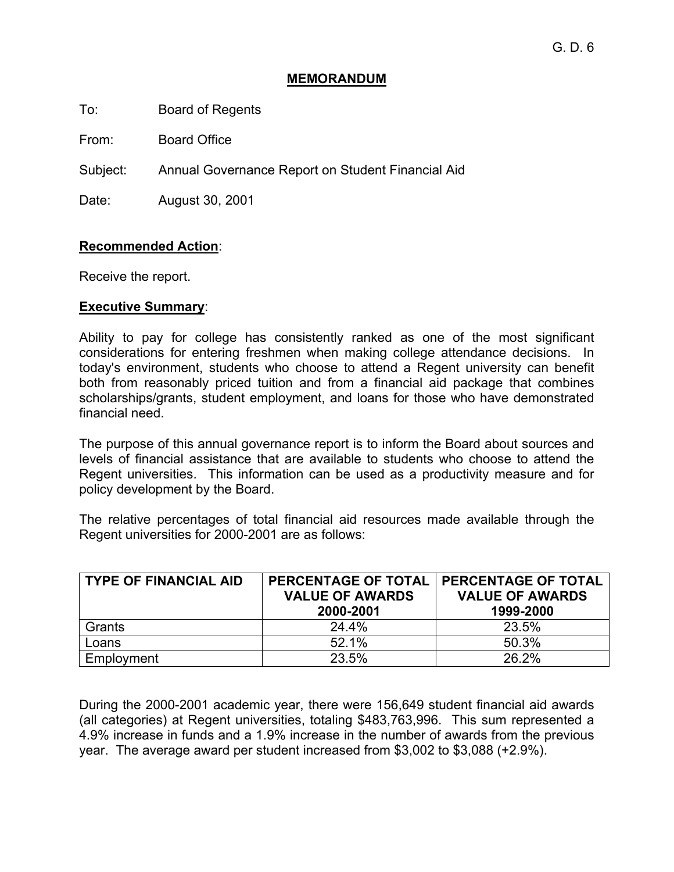## **MEMORANDUM**

To: Board of Regents

From: Board Office

Subject: Annual Governance Report on Student Financial Aid

Date: August 30, 2001

#### **Recommended Action**:

Receive the report.

#### **Executive Summary**:

Ability to pay for college has consistently ranked as one of the most significant considerations for entering freshmen when making college attendance decisions. In today's environment, students who choose to attend a Regent university can benefit both from reasonably priced tuition and from a financial aid package that combines scholarships/grants, student employment, and loans for those who have demonstrated financial need.

The purpose of this annual governance report is to inform the Board about sources and levels of financial assistance that are available to students who choose to attend the Regent universities. This information can be used as a productivity measure and for policy development by the Board.

The relative percentages of total financial aid resources made available through the Regent universities for 2000-2001 are as follows:

| <b>TYPE OF FINANCIAL AID</b> | <b>PERCENTAGE OF TOTAL</b><br><b>VALUE OF AWARDS</b><br>2000-2001 | <b>PERCENTAGE OF TOTAL</b><br><b>VALUE OF AWARDS</b><br>1999-2000 |
|------------------------------|-------------------------------------------------------------------|-------------------------------------------------------------------|
| Grants                       | 24.4%                                                             | 23.5%                                                             |
| Loans                        | 52.1%                                                             | 50.3%                                                             |
| Employment                   | 23.5%                                                             | 26.2%                                                             |

During the 2000-2001 academic year, there were 156,649 student financial aid awards (all categories) at Regent universities, totaling \$483,763,996. This sum represented a 4.9% increase in funds and a 1.9% increase in the number of awards from the previous year. The average award per student increased from \$3,002 to \$3,088 (+2.9%).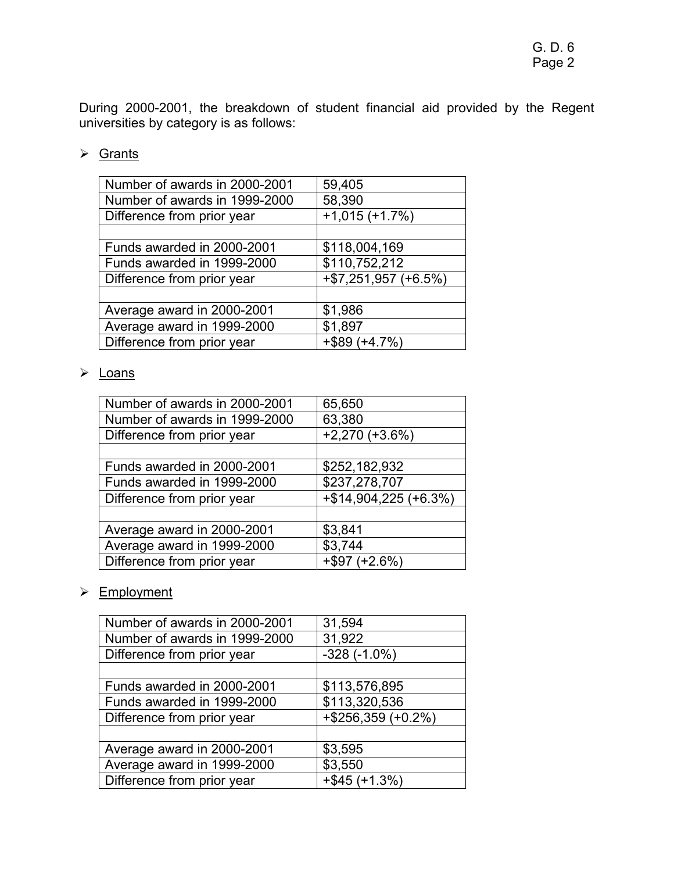During 2000-2001, the breakdown of student financial aid provided by the Regent universities by category is as follows:

## $\triangleright$  Grants

| Number of awards in 2000-2001 | 59,405                  |
|-------------------------------|-------------------------|
| Number of awards in 1999-2000 | 58,390                  |
| Difference from prior year    | $+1,015 (+1.7%)$        |
|                               |                         |
| Funds awarded in 2000-2001    | \$118,004,169           |
| Funds awarded in 1999-2000    | \$110,752,212           |
| Difference from prior year    | $+$ \$7,251,957 (+6.5%) |
|                               |                         |
| Average award in 2000-2001    | \$1,986                 |
| Average award in 1999-2000    | \$1,897                 |
| Difference from prior year    | $+$ \$89 (+4.7%)        |
|                               |                         |

## ¾ Loans

| Number of awards in 2000-2001 | 65,650                |
|-------------------------------|-----------------------|
| Number of awards in 1999-2000 | 63,380                |
| Difference from prior year    | $+2,270 (+3.6%)$      |
|                               |                       |
| Funds awarded in 2000-2001    | \$252,182,932         |
| Funds awarded in 1999-2000    | \$237,278,707         |
| Difference from prior year    | +\$14,904,225 (+6.3%) |
|                               |                       |
| Average award in 2000-2001    | \$3,841               |
| Average award in 1999-2000    | \$3,744               |
| Difference from prior year    | $+$ \$97 (+2.6%)      |

## ¾ Employment

| 31,594                |
|-----------------------|
| 31,922                |
| $-328(-1.0\%)$        |
|                       |
| \$113,576,895         |
| \$113,320,536         |
| $+$ \$256,359 (+0.2%) |
|                       |
| \$3,595               |
| \$3,550               |
| $+$ \$45 (+1.3%)      |
|                       |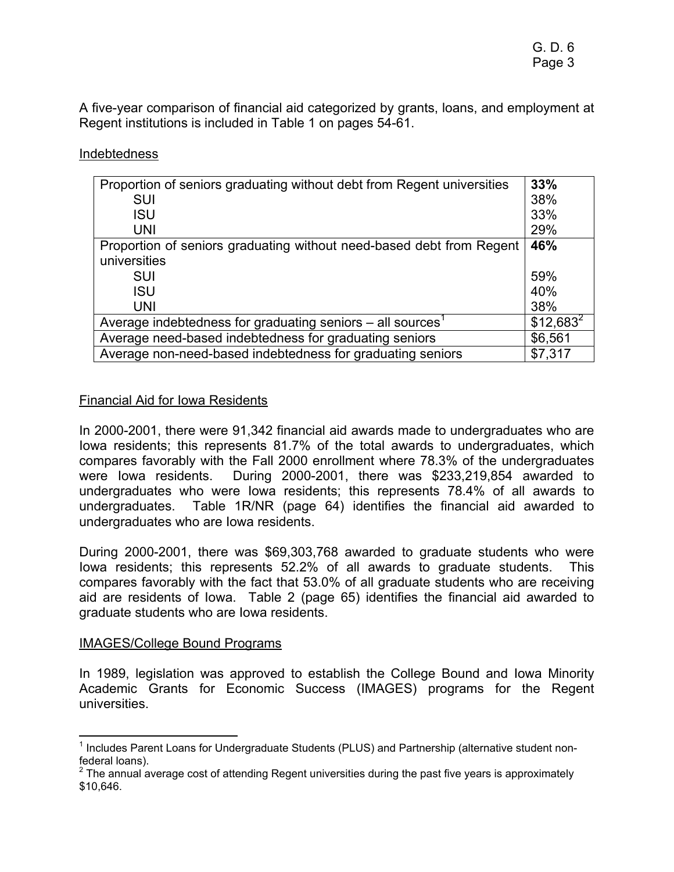A five-year comparison of financial aid categorized by grants, loans, and employment at Regent institutions is included in Table 1 on pages 54-61.

#### Indebtedness

| Proportion of seniors graduating without debt from Regent universities   | 33%         |
|--------------------------------------------------------------------------|-------------|
| <b>SUI</b>                                                               | 38%         |
| <b>ISU</b>                                                               | 33%         |
| <b>UNI</b>                                                               | 29%         |
| Proportion of seniors graduating without need-based debt from Regent     | 46%         |
| universities                                                             |             |
| <b>SUI</b>                                                               | 59%         |
| <b>ISU</b>                                                               | 40%         |
| <b>UNI</b>                                                               | 38%         |
| Average indebtedness for graduating seniors $-$ all sources <sup>1</sup> | $$12,683^2$ |
| Average need-based indebtedness for graduating seniors                   | \$6,561     |
| Average non-need-based indebtedness for graduating seniors               | \$7,317     |

#### Financial Aid for Iowa Residents

In 2000-2001, there were 91,342 financial aid awards made to undergraduates who are Iowa residents; this represents 81.7% of the total awards to undergraduates, which compares favorably with the Fall 2000 enrollment where 78.3% of the undergraduates were Iowa residents. During 2000-2001, there was \$233,219,854 awarded to undergraduates who were Iowa residents; this represents 78.4% of all awards to undergraduates. Table 1R/NR (page 64) identifies the financial aid awarded to undergraduates who are Iowa residents.

During 2000-2001, there was \$69,303,768 awarded to graduate students who were Iowa residents; this represents 52.2% of all awards to graduate students. This compares favorably with the fact that 53.0% of all graduate students who are receiving aid are residents of Iowa. Table 2 (page 65) identifies the financial aid awarded to graduate students who are Iowa residents.

#### IMAGES/College Bound Programs

 $\overline{a}$ 

In 1989, legislation was approved to establish the College Bound and Iowa Minority Academic Grants for Economic Success (IMAGES) programs for the Regent universities.

<sup>&</sup>lt;sup>1</sup> Includes Parent Loans for Undergraduate Students (PLUS) and Partnership (alternative student nonfederal loans).

 $2$  The annual average cost of attending Regent universities during the past five years is approximately \$10,646.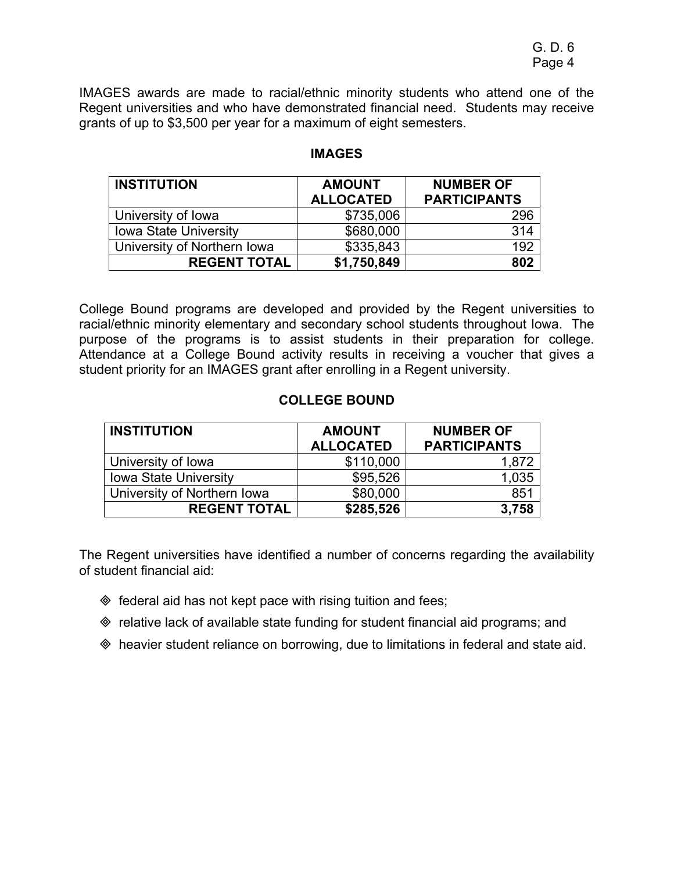IMAGES awards are made to racial/ethnic minority students who attend one of the Regent universities and who have demonstrated financial need. Students may receive grants of up to \$3,500 per year for a maximum of eight semesters.

| <b>INSTITUTION</b>           | <b>AMOUNT</b>    | <b>NUMBER OF</b>    |  |
|------------------------------|------------------|---------------------|--|
|                              | <b>ALLOCATED</b> | <b>PARTICIPANTS</b> |  |
| University of Iowa           | \$735,006        | 296                 |  |
| <b>Iowa State University</b> | \$680,000        | 314                 |  |
| University of Northern Iowa  | \$335,843        | 192                 |  |
| <b>REGENT TOTAL</b>          | \$1,750,849      | 802                 |  |

## **IMAGES**

College Bound programs are developed and provided by the Regent universities to racial/ethnic minority elementary and secondary school students throughout Iowa. The purpose of the programs is to assist students in their preparation for college. Attendance at a College Bound activity results in receiving a voucher that gives a student priority for an IMAGES grant after enrolling in a Regent university.

## **COLLEGE BOUND**

| <b>INSTITUTION</b>           | <b>AMOUNT</b><br><b>ALLOCATED</b> | <b>NUMBER OF</b><br><b>PARTICIPANTS</b> |
|------------------------------|-----------------------------------|-----------------------------------------|
| University of Iowa           | \$110,000                         | 1,872                                   |
| <b>Iowa State University</b> | \$95,526                          | 1,035                                   |
| University of Northern Iowa  | \$80,000                          | 851                                     |
| <b>REGENT TOTAL</b>          | \$285,526                         | 3,758                                   |

The Regent universities have identified a number of concerns regarding the availability of student financial aid:

- $\Diamond$  federal aid has not kept pace with rising tuition and fees;
- relative lack of available state funding for student financial aid programs; and
- heavier student reliance on borrowing, due to limitations in federal and state aid.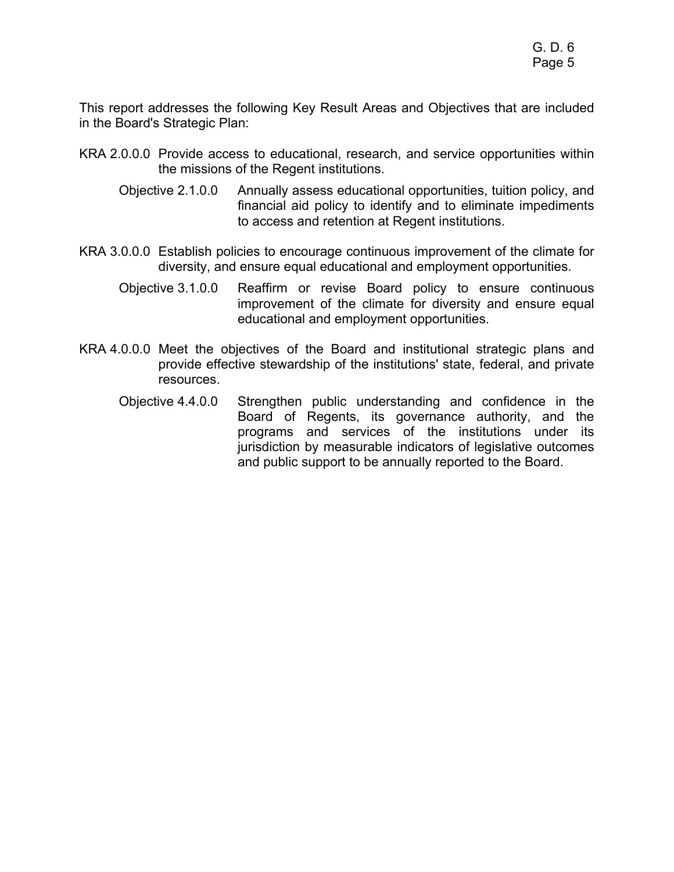This report addresses the following Key Result Areas and Objectives that are included in the Board's Strategic Plan:

- KRA 2.0.0.0 Provide access to educational, research, and service opportunities within the missions of the Regent institutions.
	- Objective 2.1.0.0 Annually assess educational opportunities, tuition policy, and financial aid policy to identify and to eliminate impediments to access and retention at Regent institutions.
- KRA 3.0.0.0 Establish policies to encourage continuous improvement of the climate for diversity, and ensure equal educational and employment opportunities.
	- Objective 3.1.0.0 Reaffirm or revise Board policy to ensure continuous improvement of the climate for diversity and ensure equal educational and employment opportunities.
- KRA 4.0.0.0 Meet the objectives of the Board and institutional strategic plans and provide effective stewardship of the institutions' state, federal, and private resources.
	- Objective 4.4.0.0 Strengthen public understanding and confidence in the Board of Regents, its governance authority, and the programs and services of the institutions under its jurisdiction by measurable indicators of legislative outcomes and public support to be annually reported to the Board.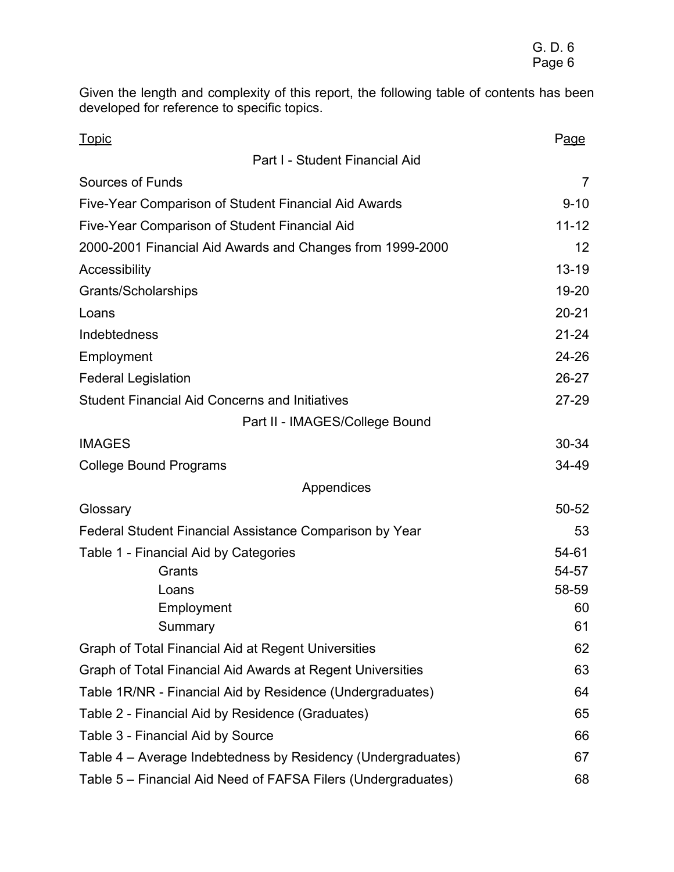Given the length and complexity of this report, the following table of contents has been developed for reference to specific topics.

| <b>Topic</b>                                                  | Page      |
|---------------------------------------------------------------|-----------|
| Part I - Student Financial Aid                                |           |
| Sources of Funds                                              | 7         |
| Five-Year Comparison of Student Financial Aid Awards          | $9 - 10$  |
| Five-Year Comparison of Student Financial Aid                 | $11 - 12$ |
| 2000-2001 Financial Aid Awards and Changes from 1999-2000     | 12        |
| Accessibility                                                 | $13 - 19$ |
| Grants/Scholarships                                           | 19-20     |
| Loans                                                         | $20 - 21$ |
| Indebtedness                                                  | $21 - 24$ |
| Employment                                                    | 24-26     |
| <b>Federal Legislation</b>                                    | 26-27     |
| <b>Student Financial Aid Concerns and Initiatives</b>         | $27 - 29$ |
| Part II - IMAGES/College Bound                                |           |
| <b>IMAGES</b>                                                 | $30 - 34$ |
| <b>College Bound Programs</b>                                 | 34-49     |
| Appendices                                                    |           |
| Glossary                                                      | 50-52     |
| Federal Student Financial Assistance Comparison by Year       | 53        |
| Table 1 - Financial Aid by Categories                         | 54-61     |
| Grants                                                        | 54-57     |
| Loans                                                         | 58-59     |
| Employment                                                    | 60        |
| Summary                                                       | 61        |
| Graph of Total Financial Aid at Regent Universities           | 62        |
| Graph of Total Financial Aid Awards at Regent Universities    | 63        |
| Table 1R/NR - Financial Aid by Residence (Undergraduates)     | 64        |
| Table 2 - Financial Aid by Residence (Graduates)              | 65        |
| Table 3 - Financial Aid by Source                             | 66        |
| Table 4 – Average Indebtedness by Residency (Undergraduates)  | 67        |
| Table 5 – Financial Aid Need of FAFSA Filers (Undergraduates) | 68        |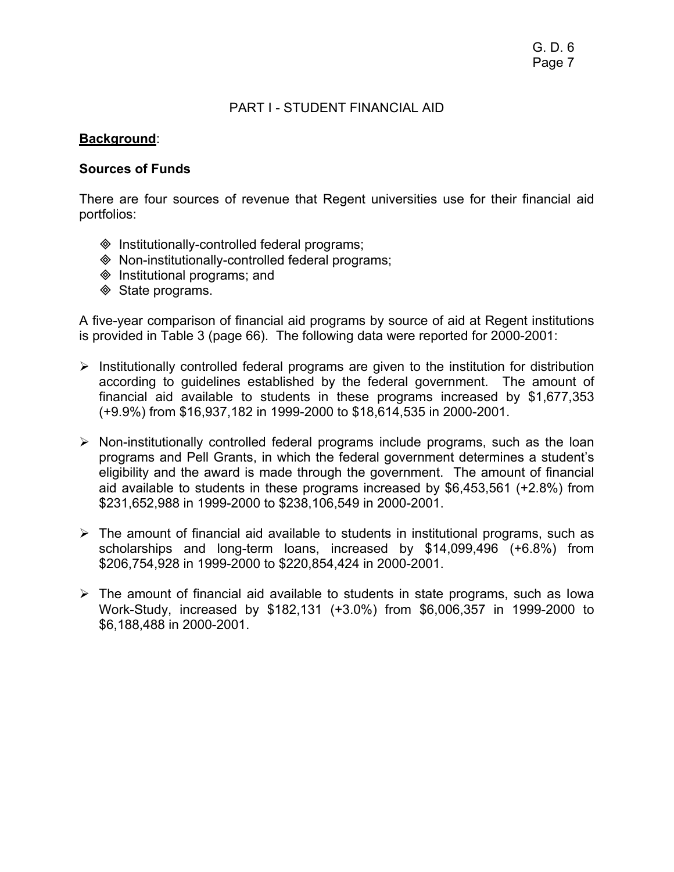### PART I - STUDENT FINANCIAL AID

### **Background**:

#### **Sources of Funds**

There are four sources of revenue that Regent universities use for their financial aid portfolios:

- $\Diamond$  Institutionally-controlled federal programs;
- Non-institutionally-controlled federal programs;
- $\Diamond$  Institutional programs; and
- **♦ State programs.**

A five-year comparison of financial aid programs by source of aid at Regent institutions is provided in Table 3 (page 66). The following data were reported for 2000-2001:

- $\triangleright$  Institutionally controlled federal programs are given to the institution for distribution according to guidelines established by the federal government. The amount of financial aid available to students in these programs increased by \$1,677,353 (+9.9%) from \$16,937,182 in 1999-2000 to \$18,614,535 in 2000-2001.
- $\triangleright$  Non-institutionally controlled federal programs include programs, such as the loan programs and Pell Grants, in which the federal government determines a student's eligibility and the award is made through the government. The amount of financial aid available to students in these programs increased by \$6,453,561 (+2.8%) from \$231,652,988 in 1999-2000 to \$238,106,549 in 2000-2001.
- $\triangleright$  The amount of financial aid available to students in institutional programs, such as scholarships and long-term loans, increased by \$14,099,496 (+6.8%) from \$206,754,928 in 1999-2000 to \$220,854,424 in 2000-2001.
- $\triangleright$  The amount of financial aid available to students in state programs, such as lowa Work-Study, increased by \$182,131 (+3.0%) from \$6,006,357 in 1999-2000 to \$6,188,488 in 2000-2001.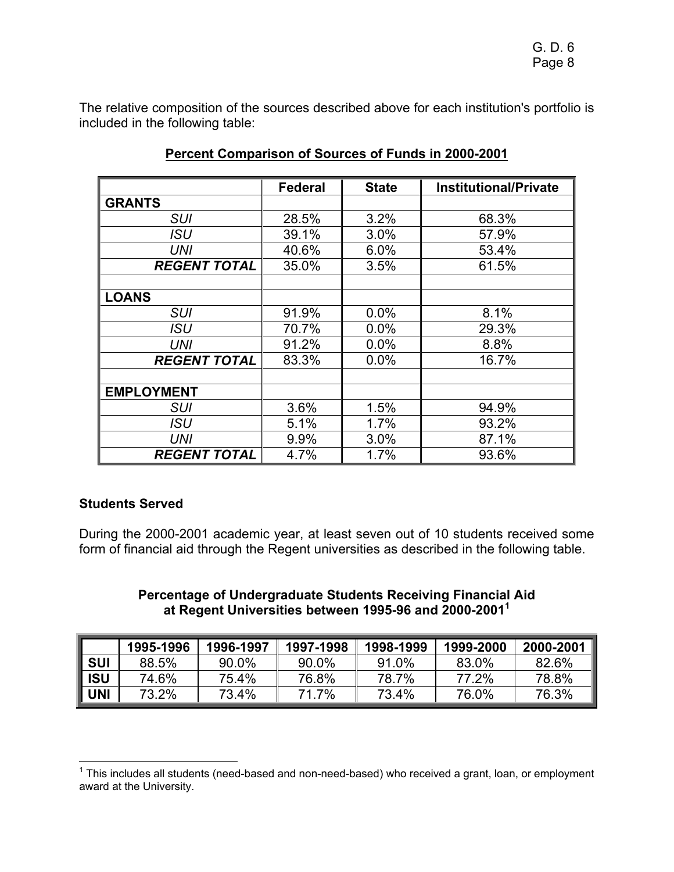The relative composition of the sources described above for each institution's portfolio is included in the following table:

|                     | <b>Federal</b> | <b>State</b> | <b>Institutional/Private</b> |
|---------------------|----------------|--------------|------------------------------|
| <b>GRANTS</b>       |                |              |                              |
| <b>SUI</b>          | 28.5%          | 3.2%         | 68.3%                        |
| <b>ISU</b>          | 39.1%          | 3.0%         | 57.9%                        |
| <b>UNI</b>          | 40.6%          | 6.0%         | 53.4%                        |
| <b>REGENT TOTAL</b> | 35.0%          | 3.5%         | 61.5%                        |
|                     |                |              |                              |
| <b>LOANS</b>        |                |              |                              |
| <b>SUI</b>          | 91.9%          | 0.0%         | 8.1%                         |
| <b>ISU</b>          | 70.7%          | 0.0%         | 29.3%                        |
| UNI                 | 91.2%          | 0.0%         | 8.8%                         |
| <b>REGENT TOTAL</b> | 83.3%          | 0.0%         | 16.7%                        |
|                     |                |              |                              |
| <b>EMPLOYMENT</b>   |                |              |                              |
| <b>SUI</b>          | 3.6%           | 1.5%         | 94.9%                        |
| ISU                 | 5.1%           | 1.7%         | 93.2%                        |
| <b>UNI</b>          | 9.9%           | 3.0%         | 87.1%                        |
| <b>REGENT TOTAL</b> | 4.7%           | 1.7%         | 93.6%                        |

## **Percent Comparison of Sources of Funds in 2000-2001**

## **Students Served**

During the 2000-2001 academic year, at least seven out of 10 students received some form of financial aid through the Regent universities as described in the following table.

> **Percentage of Undergraduate Students Receiving Financial Aid at Regent Universities between 1995-96 and 2000-20011**

|            | 1995-1996 | 1996-1997 | 1997-1998 | 1998-1999 | 1999-2000 | 2000-2001 |
|------------|-----------|-----------|-----------|-----------|-----------|-----------|
| <b>SUI</b> | 88.5%     | 90.0%     | 90.0%     | 91.0%     | 83.0%     | 82.6%     |
| <b>ISU</b> | 74.6%     | 75.4%     | 76.8%     | 78.7%     | 77.2%     | 78.8%     |
| UNI        | 73.2%     | 73.4%     | 71.7%     | 73.4%     | 76.0%     | 76.3%     |

 1 This includes all students (need-based and non-need-based) who received a grant, loan, or employment award at the University.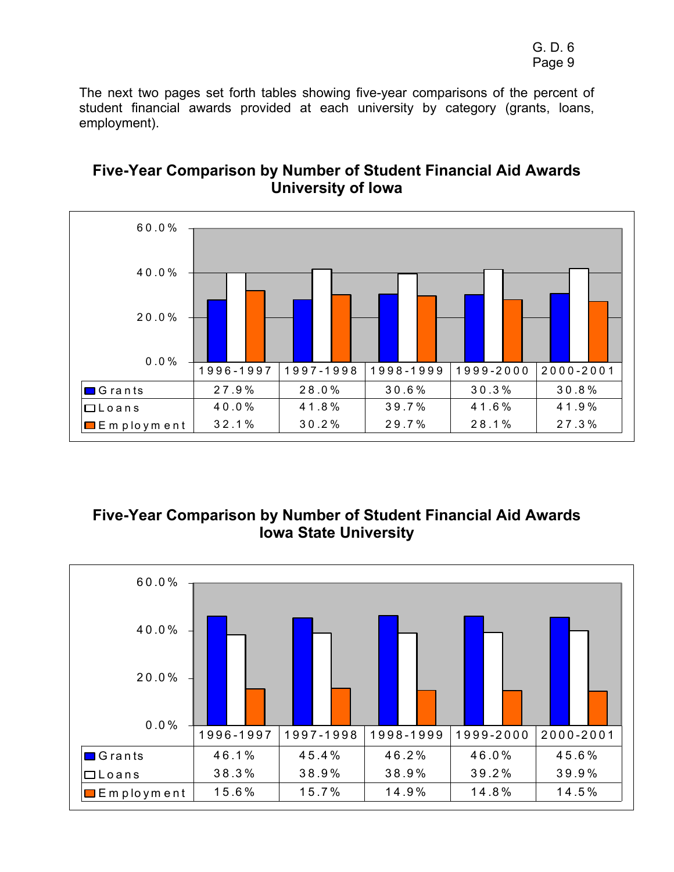The next two pages set forth tables showing five-year comparisons of the percent of student financial awards provided at each university by category (grants, loans, employment).



## **Five-Year Comparison by Number of Student Financial Aid Awards University of Iowa**

# **Five-Year Comparison by Number of Student Financial Aid Awards Iowa State University**

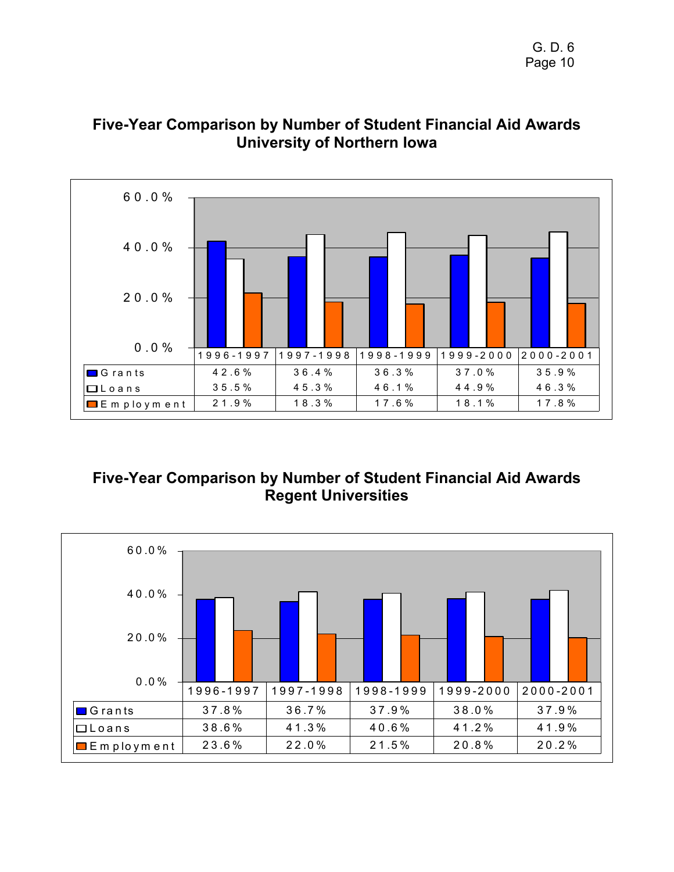

# **Five-Year Comparison by Number of Student Financial Aid Awards University of Northern Iowa**

# **Five-Year Comparison by Number of Student Financial Aid Awards Regent Universities**

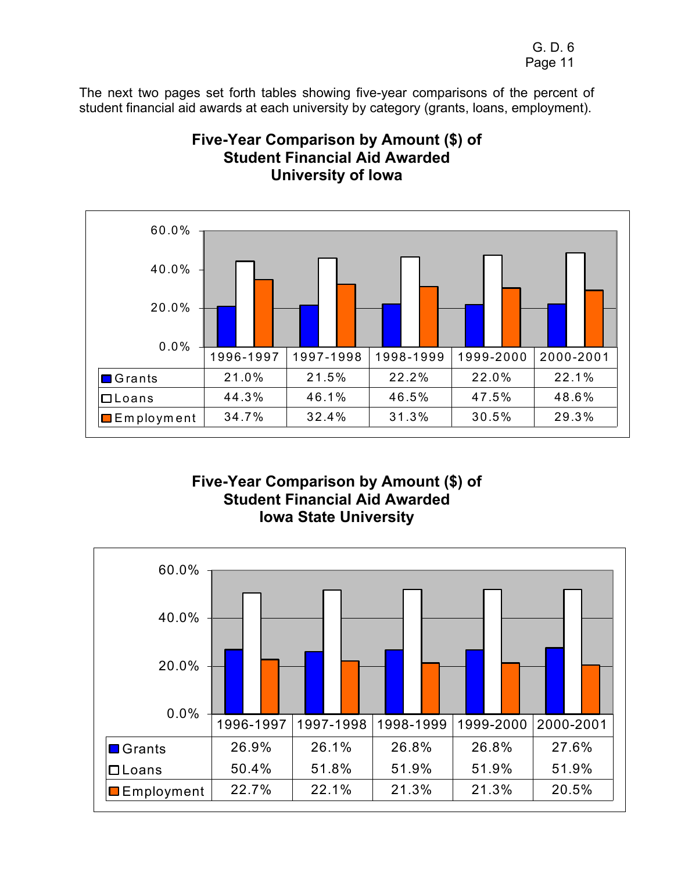The next two pages set forth tables showing five-year comparisons of the percent of student financial aid awards at each university by category (grants, loans, employment).



## **Five-Year Comparison by Amount (\$) of Student Financial Aid Awarded University of Iowa**

**Five-Year Comparison by Amount (\$) of Student Financial Aid Awarded Iowa State University** 

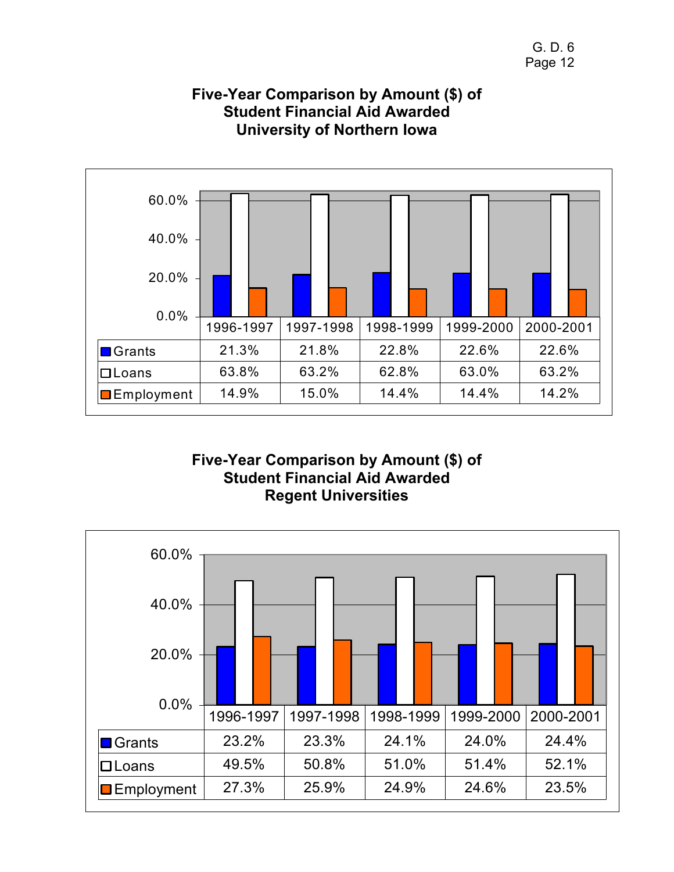

## **Five-Year Comparison by Amount (\$) of Student Financial Aid Awarded University of Northern Iowa**

## **Five-Year Comparison by Amount (\$) of Student Financial Aid Awarded Regent Universities**

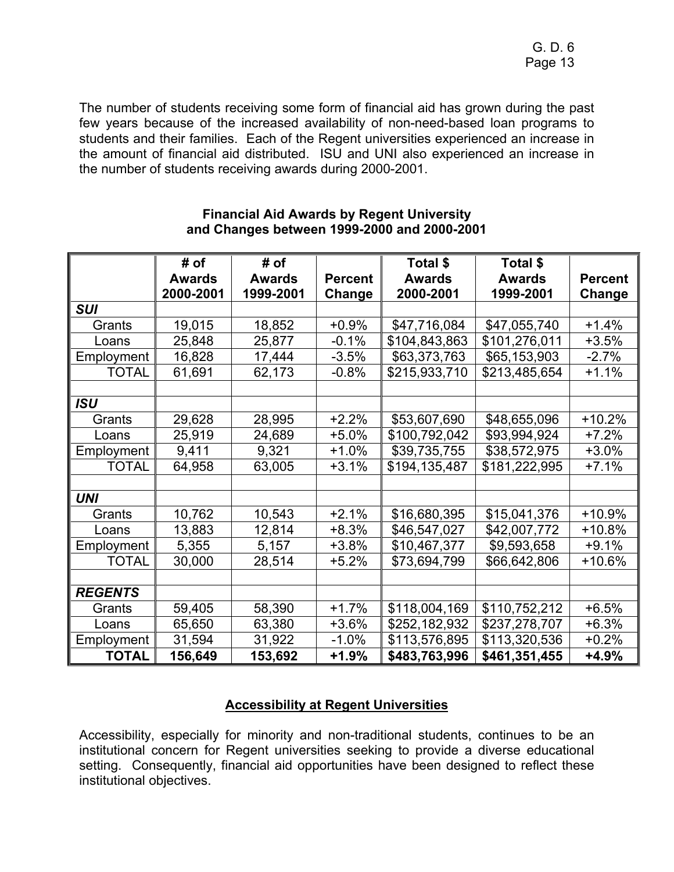The number of students receiving some form of financial aid has grown during the past few years because of the increased availability of non-need-based loan programs to students and their families. Each of the Regent universities experienced an increase in the amount of financial aid distributed. ISU and UNI also experienced an increase in the number of students receiving awards during 2000-2001.

|                | # of          | # of          |                | Total \$      | Total \$      |                |
|----------------|---------------|---------------|----------------|---------------|---------------|----------------|
|                | <b>Awards</b> | <b>Awards</b> | <b>Percent</b> | <b>Awards</b> | <b>Awards</b> | <b>Percent</b> |
|                | 2000-2001     | 1999-2001     | Change         | 2000-2001     | 1999-2001     | Change         |
| <b>SUI</b>     |               |               |                |               |               |                |
| Grants         | 19,015        | 18,852        | $+0.9%$        | \$47,716,084  | \$47,055,740  | $+1.4%$        |
|                |               |               |                |               |               |                |
| Loans          | 25,848        | 25,877        | $-0.1%$        | \$104,843,863 | \$101,276,011 | $+3.5%$        |
| Employment     | 16,828        | 17,444        | $-3.5%$        | \$63,373,763  | \$65,153,903  | $-2.7%$        |
| <b>TOTAL</b>   | 61,691        | 62,173        | $-0.8%$        | \$215,933,710 | \$213,485,654 | $+1.1%$        |
|                |               |               |                |               |               |                |
| <b>ISU</b>     |               |               |                |               |               |                |
| Grants         | 29,628        | 28,995        | $+2.2%$        | \$53,607,690  | \$48,655,096  | $+10.2%$       |
| Loans          | 25,919        | 24,689        | $+5.0%$        | \$100,792,042 | \$93,994,924  | $+7.2%$        |
| Employment     | 9,411         | 9,321         | $+1.0%$        | \$39,735,755  | \$38,572,975  | $+3.0%$        |
| <b>TOTAL</b>   | 64,958        | 63,005        | $+3.1%$        | \$194,135,487 | \$181,222,995 | $+7.1%$        |
|                |               |               |                |               |               |                |
| <b>UNI</b>     |               |               |                |               |               |                |
| Grants         | 10,762        | 10,543        | $+2.1%$        | \$16,680,395  | \$15,041,376  | +10.9%         |
| Loans          | 13,883        | 12,814        | $+8.3%$        | \$46,547,027  | \$42,007,772  | $+10.8%$       |
| Employment     | 5,355         | 5,157         | $+3.8%$        | \$10,467,377  | \$9,593,658   | $+9.1%$        |
| <b>TOTAL</b>   | 30,000        | 28,514        | $+5.2%$        | \$73,694,799  | \$66,642,806  | +10.6%         |
|                |               |               |                |               |               |                |
| <b>REGENTS</b> |               |               |                |               |               |                |
| Grants         | 59,405        | 58,390        | $+1.7%$        | \$118,004,169 | \$110,752,212 | $+6.5%$        |
| Loans          | 65,650        | 63,380        | $+3.6%$        | \$252,182,932 | \$237,278,707 | $+6.3%$        |
| Employment     | 31,594        | 31,922        | $-1.0%$        | \$113,576,895 | \$113,320,536 | $+0.2%$        |
| <b>TOTAL</b>   | 156,649       | 153,692       | $+1.9%$        | \$483,763,996 | \$461,351,455 | $+4.9%$        |

#### **Financial Aid Awards by Regent University and Changes between 1999-2000 and 2000-2001**

## **Accessibility at Regent Universities**

Accessibility, especially for minority and non-traditional students, continues to be an institutional concern for Regent universities seeking to provide a diverse educational setting. Consequently, financial aid opportunities have been designed to reflect these institutional objectives.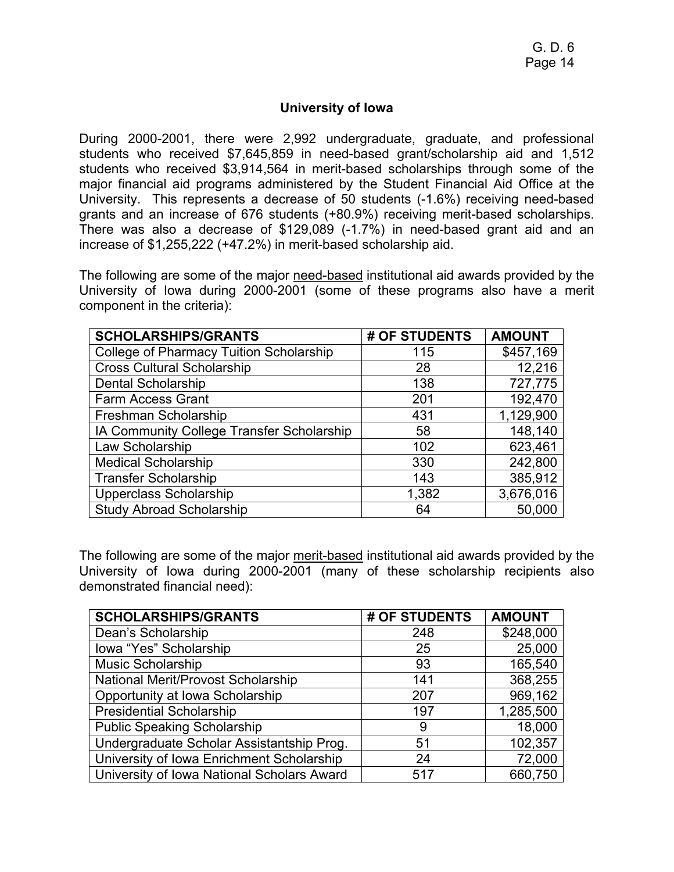#### **University of Iowa**

During 2000-2001, there were 2,992 undergraduate, graduate, and professional students who received \$7,645,859 in need-based grant/scholarship aid and 1,512 students who received \$3,914,564 in merit-based scholarships through some of the major financial aid programs administered by the Student Financial Aid Office at the University. This represents a decrease of 50 students (-1.6%) receiving need-based grants and an increase of 676 students (+80.9%) receiving merit-based scholarships. There was also a decrease of \$129,089 (-1.7%) in need-based grant aid and an increase of \$1,255,222 (+47.2%) in merit-based scholarship aid.

The following are some of the major need-based institutional aid awards provided by the University of Iowa during 2000-2001 (some of these programs also have a merit component in the criteria):

| <b>SCHOLARSHIPS/GRANTS</b>                     | # OF STUDENTS | <b>AMOUNT</b> |
|------------------------------------------------|---------------|---------------|
| <b>College of Pharmacy Tuition Scholarship</b> | 115           | \$457,169     |
| <b>Cross Cultural Scholarship</b>              | 28            | 12,216        |
| <b>Dental Scholarship</b>                      | 138           | 727,775       |
| <b>Farm Access Grant</b>                       | 201           | 192,470       |
| Freshman Scholarship                           | 431           | 1,129,900     |
| IA Community College Transfer Scholarship      | 58            | 148,140       |
| Law Scholarship                                | 102           | 623,461       |
| <b>Medical Scholarship</b>                     | 330           | 242,800       |
| <b>Transfer Scholarship</b>                    | 143           | 385,912       |
| Upperclass Scholarship                         | 1,382         | 3,676,016     |
| <b>Study Abroad Scholarship</b>                | 64            | 50,000        |

The following are some of the major merit-based institutional aid awards provided by the University of Iowa during 2000-2001 (many of these scholarship recipients also demonstrated financial need):

| <b>SCHOLARSHIPS/GRANTS</b>                 | # OF STUDENTS | <b>AMOUNT</b> |
|--------------------------------------------|---------------|---------------|
| Dean's Scholarship                         | 248           | \$248,000     |
| Iowa "Yes" Scholarship                     | 25            | 25,000        |
| <b>Music Scholarship</b>                   | 93            | 165,540       |
| National Merit/Provost Scholarship         | 141           | 368,255       |
| Opportunity at Iowa Scholarship            | 207           | 969,162       |
| <b>Presidential Scholarship</b>            | 197           | 1,285,500     |
| <b>Public Speaking Scholarship</b>         | 9             | 18,000        |
| Undergraduate Scholar Assistantship Prog.  | 51            | 102,357       |
| University of Iowa Enrichment Scholarship  | 24            | 72,000        |
| University of Iowa National Scholars Award | 517           | 660,750       |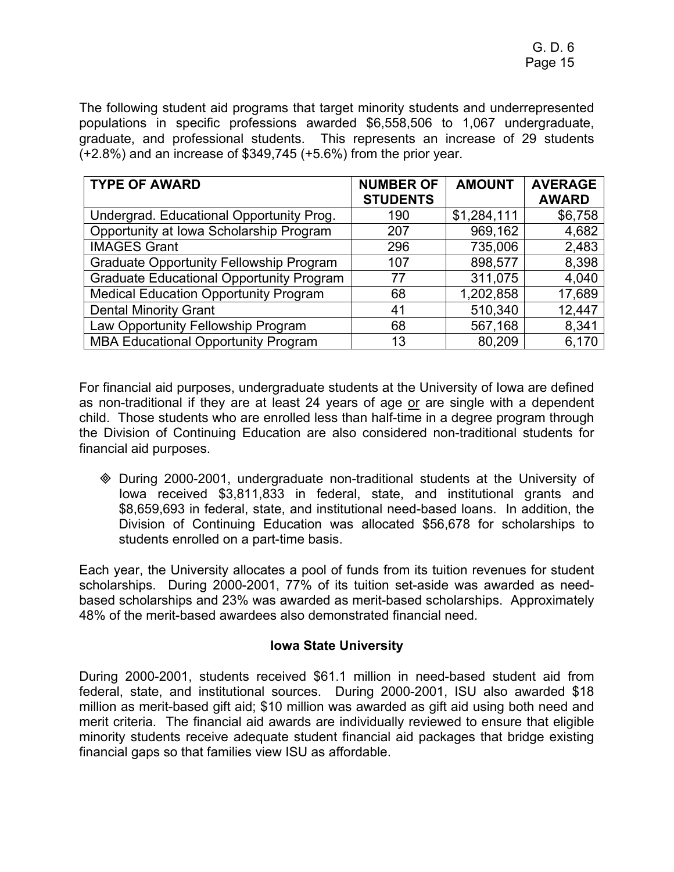The following student aid programs that target minority students and underrepresented populations in specific professions awarded \$6,558,506 to 1,067 undergraduate, graduate, and professional students. This represents an increase of 29 students (+2.8%) and an increase of \$349,745 (+5.6%) from the prior year.

| <b>TYPE OF AWARD</b>                            | <b>NUMBER OF</b> | <b>AMOUNT</b> | <b>AVERAGE</b> |
|-------------------------------------------------|------------------|---------------|----------------|
|                                                 | <b>STUDENTS</b>  |               | <b>AWARD</b>   |
| Undergrad. Educational Opportunity Prog.        | 190              | \$1,284,111   | \$6,758        |
| Opportunity at Iowa Scholarship Program         | 207              | 969,162       | 4,682          |
| <b>IMAGES Grant</b>                             | 296              | 735,006       | 2,483          |
| <b>Graduate Opportunity Fellowship Program</b>  | 107              | 898,577       | 8,398          |
| <b>Graduate Educational Opportunity Program</b> | 77               | 311,075       | 4,040          |
| <b>Medical Education Opportunity Program</b>    | 68               | 1,202,858     | 17,689         |
| <b>Dental Minority Grant</b>                    | 41               | 510,340       | 12,447         |
| Law Opportunity Fellowship Program              | 68               | 567,168       | 8,341          |
| <b>MBA Educational Opportunity Program</b>      | 13               | 80,209        | 6,170          |

For financial aid purposes, undergraduate students at the University of Iowa are defined as non-traditional if they are at least 24 years of age or are single with a dependent child. Those students who are enrolled less than half-time in a degree program through the Division of Continuing Education are also considered non-traditional students for financial aid purposes.

 During 2000-2001, undergraduate non-traditional students at the University of Iowa received \$3,811,833 in federal, state, and institutional grants and \$8,659,693 in federal, state, and institutional need-based loans. In addition, the Division of Continuing Education was allocated \$56,678 for scholarships to students enrolled on a part-time basis.

Each year, the University allocates a pool of funds from its tuition revenues for student scholarships. During 2000-2001, 77% of its tuition set-aside was awarded as needbased scholarships and 23% was awarded as merit-based scholarships. Approximately 48% of the merit-based awardees also demonstrated financial need.

## **Iowa State University**

During 2000-2001, students received \$61.1 million in need-based student aid from federal, state, and institutional sources. During 2000-2001, ISU also awarded \$18 million as merit-based gift aid; \$10 million was awarded as gift aid using both need and merit criteria. The financial aid awards are individually reviewed to ensure that eligible minority students receive adequate student financial aid packages that bridge existing financial gaps so that families view ISU as affordable.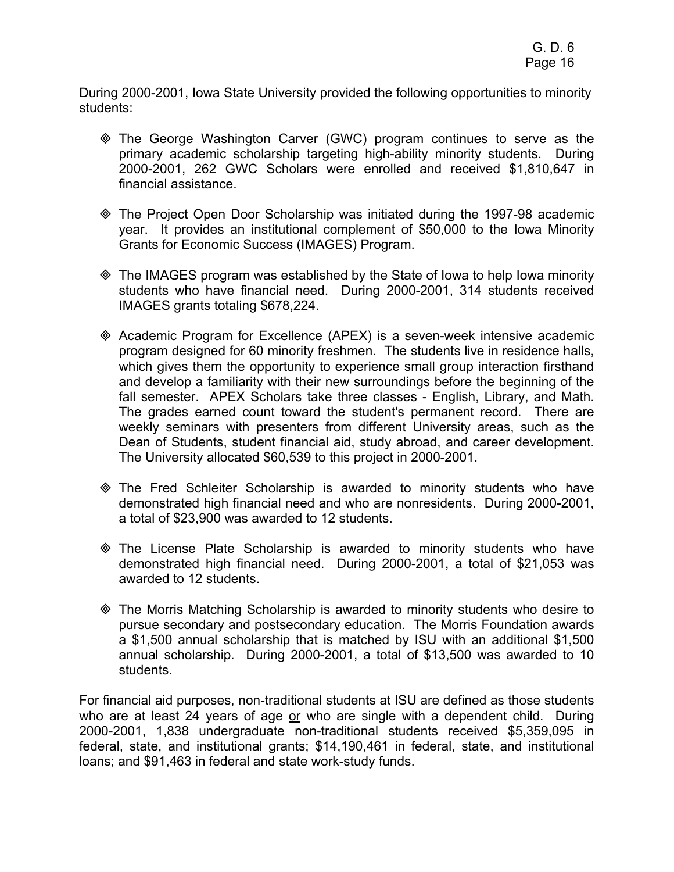During 2000-2001, Iowa State University provided the following opportunities to minority students:

- The George Washington Carver (GWC) program continues to serve as the primary academic scholarship targeting high-ability minority students. During 2000-2001, 262 GWC Scholars were enrolled and received \$1,810,647 in financial assistance.
- The Project Open Door Scholarship was initiated during the 1997-98 academic year. It provides an institutional complement of \$50,000 to the Iowa Minority Grants for Economic Success (IMAGES) Program.
- The IMAGES program was established by the State of Iowa to help Iowa minority students who have financial need. During 2000-2001, 314 students received IMAGES grants totaling \$678,224.
- Academic Program for Excellence (APEX) is a seven-week intensive academic program designed for 60 minority freshmen. The students live in residence halls, which gives them the opportunity to experience small group interaction firsthand and develop a familiarity with their new surroundings before the beginning of the fall semester. APEX Scholars take three classes - English, Library, and Math. The grades earned count toward the student's permanent record. There are weekly seminars with presenters from different University areas, such as the Dean of Students, student financial aid, study abroad, and career development. The University allocated \$60,539 to this project in 2000-2001.
- The Fred Schleiter Scholarship is awarded to minority students who have demonstrated high financial need and who are nonresidents. During 2000-2001, a total of \$23,900 was awarded to 12 students.
- The License Plate Scholarship is awarded to minority students who have demonstrated high financial need. During 2000-2001, a total of \$21,053 was awarded to 12 students.
- The Morris Matching Scholarship is awarded to minority students who desire to pursue secondary and postsecondary education. The Morris Foundation awards a \$1,500 annual scholarship that is matched by ISU with an additional \$1,500 annual scholarship. During 2000-2001, a total of \$13,500 was awarded to 10 students.

For financial aid purposes, non-traditional students at ISU are defined as those students who are at least 24 years of age or who are single with a dependent child. During 2000-2001, 1,838 undergraduate non-traditional students received \$5,359,095 in federal, state, and institutional grants; \$14,190,461 in federal, state, and institutional loans; and \$91,463 in federal and state work-study funds.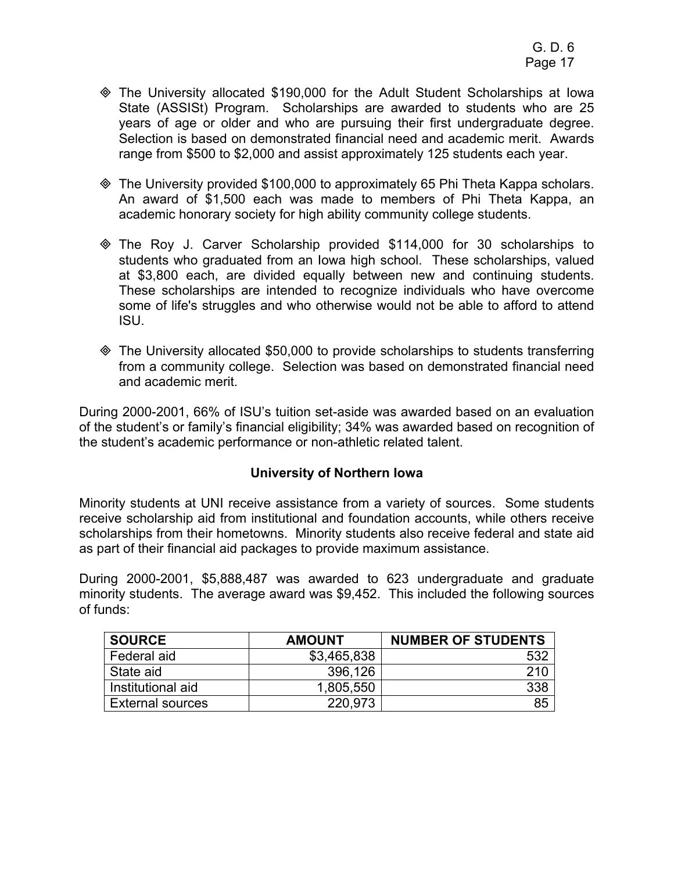- The University allocated \$190,000 for the Adult Student Scholarships at Iowa State (ASSISt) Program. Scholarships are awarded to students who are 25 years of age or older and who are pursuing their first undergraduate degree. Selection is based on demonstrated financial need and academic merit. Awards range from \$500 to \$2,000 and assist approximately 125 students each year.
- The University provided \$100,000 to approximately 65 Phi Theta Kappa scholars. An award of \$1,500 each was made to members of Phi Theta Kappa, an academic honorary society for high ability community college students.
- The Roy J. Carver Scholarship provided \$114,000 for 30 scholarships to students who graduated from an Iowa high school. These scholarships, valued at \$3,800 each, are divided equally between new and continuing students. These scholarships are intended to recognize individuals who have overcome some of life's struggles and who otherwise would not be able to afford to attend ISU.
- The University allocated \$50,000 to provide scholarships to students transferring from a community college. Selection was based on demonstrated financial need and academic merit.

During 2000-2001, 66% of ISU's tuition set-aside was awarded based on an evaluation of the student's or family's financial eligibility; 34% was awarded based on recognition of the student's academic performance or non-athletic related talent.

## **University of Northern Iowa**

Minority students at UNI receive assistance from a variety of sources. Some students receive scholarship aid from institutional and foundation accounts, while others receive scholarships from their hometowns. Minority students also receive federal and state aid as part of their financial aid packages to provide maximum assistance.

During 2000-2001, \$5,888,487 was awarded to 623 undergraduate and graduate minority students. The average award was \$9,452. This included the following sources of funds:

| <b>SOURCE</b>           | <b>AMOUNT</b> | <b>NUMBER OF STUDENTS</b> |
|-------------------------|---------------|---------------------------|
| Federal aid             | \$3,465,838   | 532                       |
| State aid               | 396,126       | 210                       |
| Institutional aid       | 1,805,550     | 338                       |
| <b>External sources</b> | 220,973       | 85                        |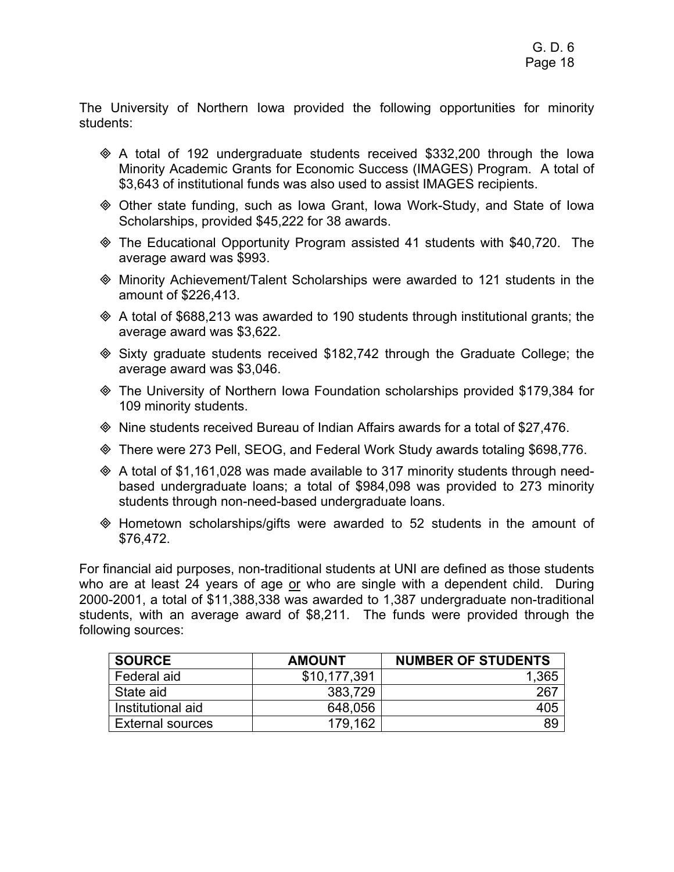The University of Northern Iowa provided the following opportunities for minority students:

- $\Diamond$  A total of 192 undergraduate students received \$332,200 through the lowa Minority Academic Grants for Economic Success (IMAGES) Program. A total of \$3,643 of institutional funds was also used to assist IMAGES recipients.
- Other state funding, such as Iowa Grant, Iowa Work-Study, and State of Iowa Scholarships, provided \$45,222 for 38 awards.
- The Educational Opportunity Program assisted 41 students with \$40,720. The average award was \$993.
- Minority Achievement/Talent Scholarships were awarded to 121 students in the amount of \$226,413.
- $\Diamond$  A total of \$688,213 was awarded to 190 students through institutional grants; the average award was \$3,622.
- $\textcircled{}$  Sixty graduate students received \$182,742 through the Graduate College; the average award was \$3,046.
- The University of Northern Iowa Foundation scholarships provided \$179,384 for 109 minority students.
- Nine students received Bureau of Indian Affairs awards for a total of \$27,476.
- There were 273 Pell, SEOG, and Federal Work Study awards totaling \$698,776.
- $\Diamond$  A total of \$1,161,028 was made available to 317 minority students through needbased undergraduate loans; a total of \$984,098 was provided to 273 minority students through non-need-based undergraduate loans.
- Hometown scholarships/gifts were awarded to 52 students in the amount of \$76,472.

For financial aid purposes, non-traditional students at UNI are defined as those students who are at least 24 years of age or who are single with a dependent child. During 2000-2001, a total of \$11,388,338 was awarded to 1,387 undergraduate non-traditional students, with an average award of \$8,211. The funds were provided through the following sources:

| <b>SOURCE</b>           | <b>AMOUNT</b> | <b>NUMBER OF STUDENTS</b> |
|-------------------------|---------------|---------------------------|
| Federal aid             | \$10,177,391  | .365                      |
| State aid               | 383,729       | 267                       |
| Institutional aid       | 648,056       | 405                       |
| <b>External sources</b> | .162<br>179.  | 89                        |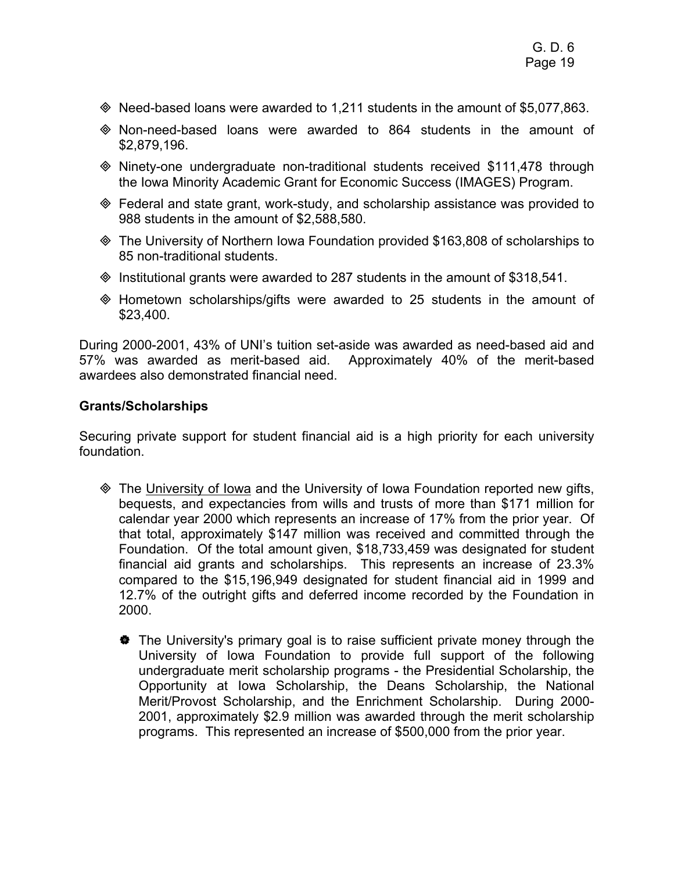- $\textcircled{*}$  Need-based loans were awarded to 1,211 students in the amount of \$5,077,863.
- Non-need-based loans were awarded to 864 students in the amount of \$2,879,196.
- Ninety-one undergraduate non-traditional students received \$111,478 through the Iowa Minority Academic Grant for Economic Success (IMAGES) Program.
- Federal and state grant, work-study, and scholarship assistance was provided to 988 students in the amount of \$2,588,580.
- The University of Northern Iowa Foundation provided \$163,808 of scholarships to 85 non-traditional students.
- $\textcircled{}$  Institutional grants were awarded to 287 students in the amount of \$318,541.
- $\Diamond$  Hometown scholarships/gifts were awarded to 25 students in the amount of \$23,400.

During 2000-2001, 43% of UNI's tuition set-aside was awarded as need-based aid and 57% was awarded as merit-based aid. Approximately 40% of the merit-based awardees also demonstrated financial need.

## **Grants/Scholarships**

Securing private support for student financial aid is a high priority for each university foundation.

- **EXA** The University of Iowa and the University of Iowa Foundation reported new gifts, bequests, and expectancies from wills and trusts of more than \$171 million for calendar year 2000 which represents an increase of 17% from the prior year. Of that total, approximately \$147 million was received and committed through the Foundation. Of the total amount given, \$18,733,459 was designated for student financial aid grants and scholarships. This represents an increase of 23.3% compared to the \$15,196,949 designated for student financial aid in 1999 and 12.7% of the outright gifts and deferred income recorded by the Foundation in 2000.
	- $\bullet$  The University's primary goal is to raise sufficient private money through the University of Iowa Foundation to provide full support of the following undergraduate merit scholarship programs - the Presidential Scholarship, the Opportunity at Iowa Scholarship, the Deans Scholarship, the National Merit/Provost Scholarship, and the Enrichment Scholarship. During 2000- 2001, approximately \$2.9 million was awarded through the merit scholarship programs. This represented an increase of \$500,000 from the prior year.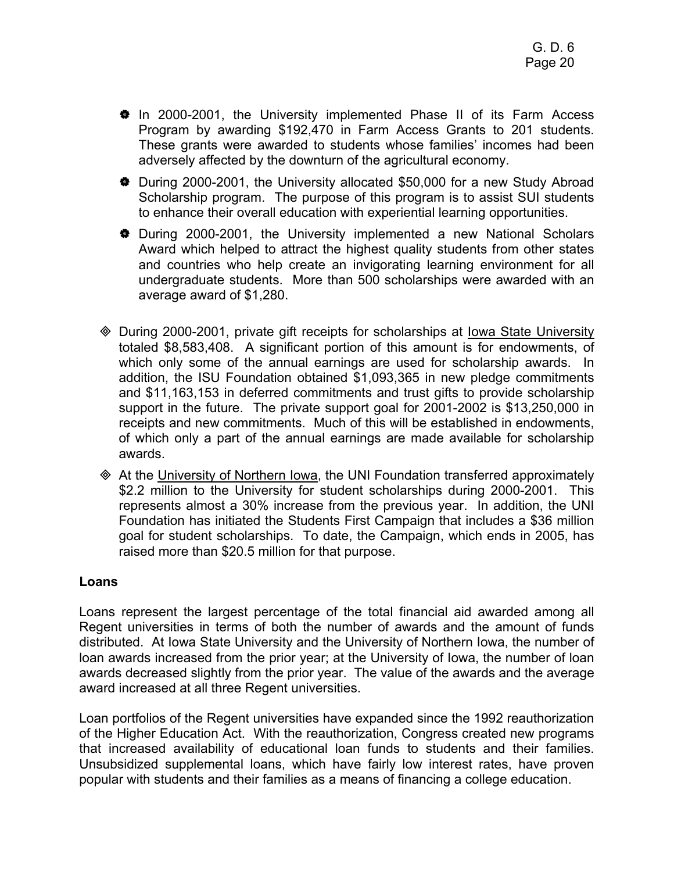- $\bullet$  In 2000-2001, the University implemented Phase II of its Farm Access Program by awarding \$192,470 in Farm Access Grants to 201 students. These grants were awarded to students whose families' incomes had been adversely affected by the downturn of the agricultural economy.
- V During 2000-2001, the University allocated \$50,000 for a new Study Abroad Scholarship program. The purpose of this program is to assist SUI students to enhance their overall education with experiential learning opportunities.
- $\bullet$  During 2000-2001, the University implemented a new National Scholars Award which helped to attract the highest quality students from other states and countries who help create an invigorating learning environment for all undergraduate students. More than 500 scholarships were awarded with an average award of \$1,280.
- During 2000-2001, private gift receipts for scholarships at Iowa State University totaled \$8,583,408. A significant portion of this amount is for endowments, of which only some of the annual earnings are used for scholarship awards. In addition, the ISU Foundation obtained \$1,093,365 in new pledge commitments and \$11,163,153 in deferred commitments and trust gifts to provide scholarship support in the future. The private support goal for 2001-2002 is \$13,250,000 in receipts and new commitments. Much of this will be established in endowments, of which only a part of the annual earnings are made available for scholarship awards.
- At the University of Northern Iowa, the UNI Foundation transferred approximately \$2.2 million to the University for student scholarships during 2000-2001. This represents almost a 30% increase from the previous year. In addition, the UNI Foundation has initiated the Students First Campaign that includes a \$36 million goal for student scholarships. To date, the Campaign, which ends in 2005, has raised more than \$20.5 million for that purpose.

#### **Loans**

Loans represent the largest percentage of the total financial aid awarded among all Regent universities in terms of both the number of awards and the amount of funds distributed. At Iowa State University and the University of Northern Iowa, the number of loan awards increased from the prior year; at the University of Iowa, the number of loan awards decreased slightly from the prior year. The value of the awards and the average award increased at all three Regent universities.

Loan portfolios of the Regent universities have expanded since the 1992 reauthorization of the Higher Education Act. With the reauthorization, Congress created new programs that increased availability of educational loan funds to students and their families. Unsubsidized supplemental loans, which have fairly low interest rates, have proven popular with students and their families as a means of financing a college education.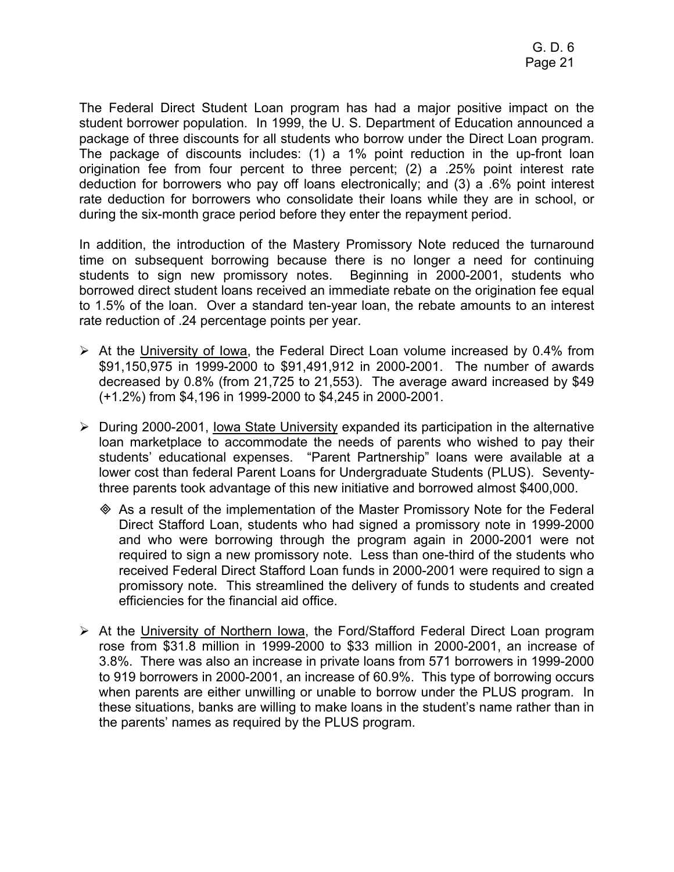The Federal Direct Student Loan program has had a major positive impact on the student borrower population. In 1999, the U. S. Department of Education announced a package of three discounts for all students who borrow under the Direct Loan program. The package of discounts includes: (1) a 1% point reduction in the up-front loan origination fee from four percent to three percent; (2) a .25% point interest rate deduction for borrowers who pay off loans electronically; and (3) a .6% point interest rate deduction for borrowers who consolidate their loans while they are in school, or during the six-month grace period before they enter the repayment period.

In addition, the introduction of the Mastery Promissory Note reduced the turnaround time on subsequent borrowing because there is no longer a need for continuing students to sign new promissory notes. Beginning in 2000-2001, students who borrowed direct student loans received an immediate rebate on the origination fee equal to 1.5% of the loan. Over a standard ten-year loan, the rebate amounts to an interest rate reduction of .24 percentage points per year.

- $\triangleright$  At the University of Iowa, the Federal Direct Loan volume increased by 0.4% from \$91,150,975 in 1999-2000 to \$91,491,912 in 2000-2001. The number of awards decreased by 0.8% (from 21,725 to 21,553). The average award increased by \$49 (+1.2%) from \$4,196 in 1999-2000 to \$4,245 in 2000-2001.
- $\triangleright$  During 2000-2001, Iowa State University expanded its participation in the alternative loan marketplace to accommodate the needs of parents who wished to pay their students' educational expenses. "Parent Partnership" loans were available at a lower cost than federal Parent Loans for Undergraduate Students (PLUS). Seventythree parents took advantage of this new initiative and borrowed almost \$400,000.
	- As a result of the implementation of the Master Promissory Note for the Federal Direct Stafford Loan, students who had signed a promissory note in 1999-2000 and who were borrowing through the program again in 2000-2001 were not required to sign a new promissory note. Less than one-third of the students who received Federal Direct Stafford Loan funds in 2000-2001 were required to sign a promissory note. This streamlined the delivery of funds to students and created efficiencies for the financial aid office.
- ¾ At the University of Northern Iowa, the Ford/Stafford Federal Direct Loan program rose from \$31.8 million in 1999-2000 to \$33 million in 2000-2001, an increase of 3.8%. There was also an increase in private loans from 571 borrowers in 1999-2000 to 919 borrowers in 2000-2001, an increase of 60.9%. This type of borrowing occurs when parents are either unwilling or unable to borrow under the PLUS program. In these situations, banks are willing to make loans in the student's name rather than in the parents' names as required by the PLUS program.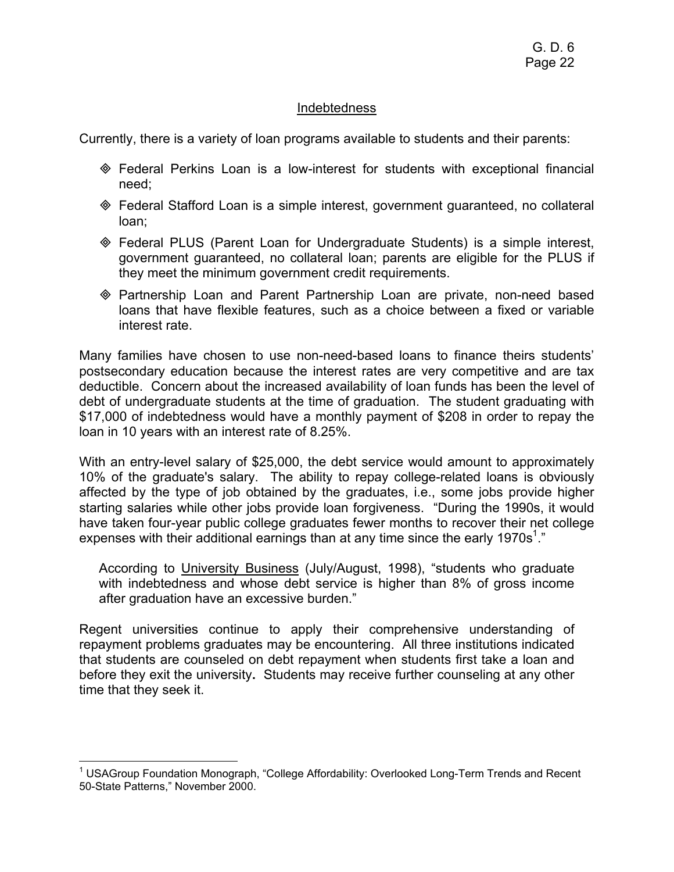#### Indebtedness

Currently, there is a variety of loan programs available to students and their parents:

- Federal Perkins Loan is a low-interest for students with exceptional financial need;
- Federal Stafford Loan is a simple interest, government guaranteed, no collateral loan;
- Federal PLUS (Parent Loan for Undergraduate Students) is a simple interest, government guaranteed, no collateral loan; parents are eligible for the PLUS if they meet the minimum government credit requirements.
- Partnership Loan and Parent Partnership Loan are private, non-need based loans that have flexible features, such as a choice between a fixed or variable interest rate.

Many families have chosen to use non-need-based loans to finance theirs students' postsecondary education because the interest rates are very competitive and are tax deductible. Concern about the increased availability of loan funds has been the level of debt of undergraduate students at the time of graduation. The student graduating with \$17,000 of indebtedness would have a monthly payment of \$208 in order to repay the loan in 10 years with an interest rate of 8.25%.

With an entry-level salary of \$25,000, the debt service would amount to approximately 10% of the graduate's salary. The ability to repay college-related loans is obviously affected by the type of job obtained by the graduates, i.e., some jobs provide higher starting salaries while other jobs provide loan forgiveness. "During the 1990s, it would have taken four-year public college graduates fewer months to recover their net college expenses with their additional earnings than at any time since the early 1970s<sup>1</sup>."

According to University Business (July/August, 1998), "students who graduate with indebtedness and whose debt service is higher than 8% of gross income after graduation have an excessive burden."

Regent universities continue to apply their comprehensive understanding of repayment problems graduates may be encountering. All three institutions indicated that students are counseled on debt repayment when students first take a loan and before they exit the university**.** Students may receive further counseling at any other time that they seek it.

 $\overline{a}$ <sup>1</sup> USAGroup Foundation Monograph, "College Affordability: Overlooked Long-Term Trends and Recent 50-State Patterns," November 2000.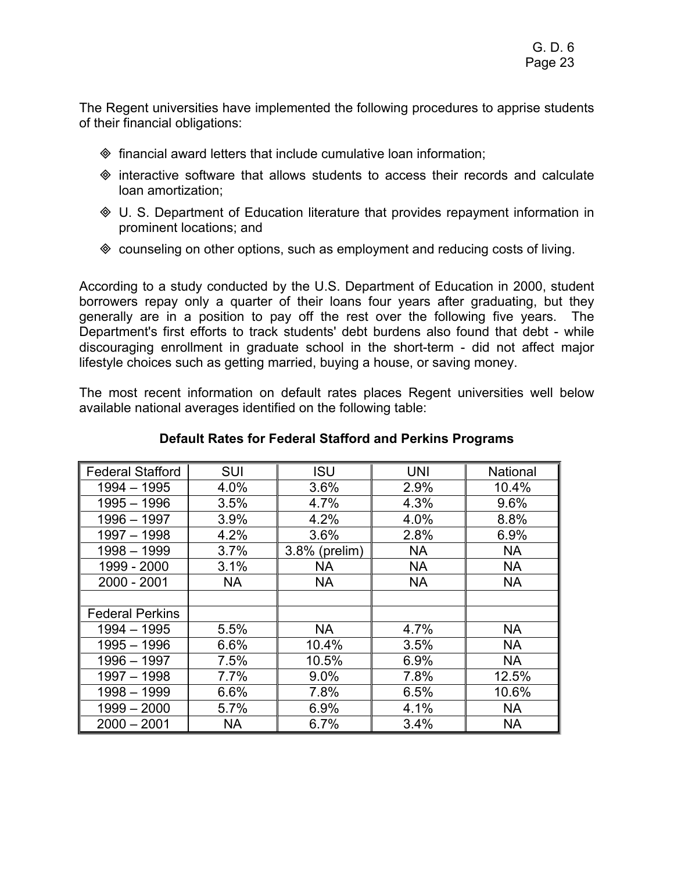The Regent universities have implemented the following procedures to apprise students of their financial obligations:

- $\Diamond$  financial award letters that include cumulative loan information;
- $\Diamond$  interactive software that allows students to access their records and calculate loan amortization;
- U. S. Department of Education literature that provides repayment information in prominent locations; and
- counseling on other options, such as employment and reducing costs of living.

According to a study conducted by the U.S. Department of Education in 2000, student borrowers repay only a quarter of their loans four years after graduating, but they generally are in a position to pay off the rest over the following five years. The Department's first efforts to track students' debt burdens also found that debt - while discouraging enrollment in graduate school in the short-term - did not affect major lifestyle choices such as getting married, buying a house, or saving money.

The most recent information on default rates places Regent universities well below available national averages identified on the following table:

| <b>Federal Stafford</b> | SUI       | <b>ISU</b>    | <b>UNI</b> | <b>National</b> |
|-------------------------|-----------|---------------|------------|-----------------|
| $1994 - 1995$           | 4.0%      | 3.6%          | 2.9%       | 10.4%           |
| $1995 - 1996$           | 3.5%      | 4.7%          | 4.3%       | 9.6%            |
| $1996 - 1997$           | 3.9%      | 4.2%          | 4.0%       | 8.8%            |
| $1997 - 1998$           | 4.2%      | 3.6%          | 2.8%       | 6.9%            |
| $1998 - 1999$           | 3.7%      | 3.8% (prelim) | <b>NA</b>  | <b>NA</b>       |
| 1999 - 2000             | 3.1%      | <b>NA</b>     | <b>NA</b>  | <b>NA</b>       |
| 2000 - 2001             | <b>NA</b> | <b>NA</b>     | <b>NA</b>  | <b>NA</b>       |
|                         |           |               |            |                 |
| <b>Federal Perkins</b>  |           |               |            |                 |
| $1994 - 1995$           | 5.5%      | <b>NA</b>     | 4.7%       | <b>NA</b>       |
| $1995 - 1996$           | 6.6%      | 10.4%         | 3.5%       | <b>NA</b>       |
| 1996 - 1997             | 7.5%      | 10.5%         | 6.9%       | <b>NA</b>       |
| $1997 - 1998$           | 7.7%      | 9.0%          | 7.8%       | 12.5%           |
| $1998 - 1999$           | 6.6%      | 7.8%          | 6.5%       | 10.6%           |
| $1999 - 2000$           | 5.7%      | 6.9%          | 4.1%       | <b>NA</b>       |
| $2000 - 2001$           | <b>NA</b> | 6.7%          | 3.4%       | <b>NA</b>       |

### **Default Rates for Federal Stafford and Perkins Programs**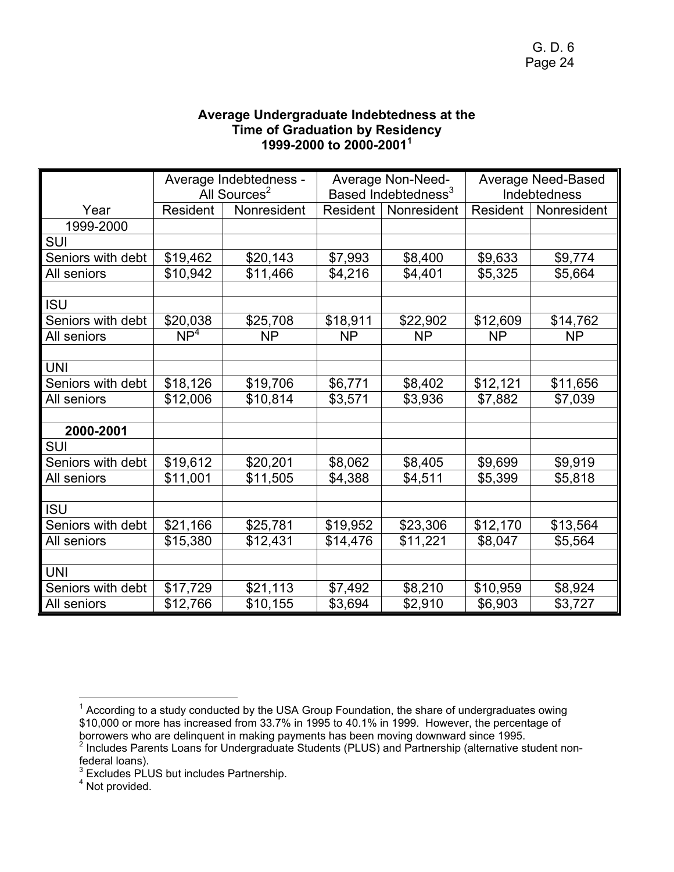## **Average Undergraduate Indebtedness at the Time of Graduation by Residency 1999-2000 to 2000-2001<sup>1</sup>**

|                   | Average Indebtedness -<br>All Sources <sup>2</sup> |             | <b>Average Non-Need-</b><br>Based Indebtedness <sup>3</sup> |             | <b>Average Need-Based</b><br>Indebtedness |             |
|-------------------|----------------------------------------------------|-------------|-------------------------------------------------------------|-------------|-------------------------------------------|-------------|
| Year              | Resident                                           | Nonresident | Resident                                                    | Nonresident | Resident                                  | Nonresident |
| 1999-2000         |                                                    |             |                                                             |             |                                           |             |
| <b>SUI</b>        |                                                    |             |                                                             |             |                                           |             |
| Seniors with debt | \$19,462                                           | \$20,143    | \$7,993                                                     | \$8,400     | \$9,633                                   | \$9,774     |
| All seniors       | \$10,942                                           | \$11,466    | \$4,216                                                     | \$4,401     | \$5,325                                   | \$5,664     |
|                   |                                                    |             |                                                             |             |                                           |             |
| <b>ISU</b>        |                                                    |             |                                                             |             |                                           |             |
| Seniors with debt | \$20,038                                           | \$25,708    | \$18,911                                                    | \$22,902    | \$12,609                                  | \$14,762    |
| All seniors       | NP <sup>4</sup>                                    | <b>NP</b>   | <b>NP</b>                                                   | <b>NP</b>   | <b>NP</b>                                 | <b>NP</b>   |
|                   |                                                    |             |                                                             |             |                                           |             |
| <b>UNI</b>        |                                                    |             |                                                             |             |                                           |             |
| Seniors with debt | \$18,126                                           | \$19,706    | \$6,771                                                     | \$8,402     | \$12,121                                  | \$11,656    |
| All seniors       | \$12,006                                           | \$10,814    | \$3,571                                                     | \$3,936     | \$7,882                                   | \$7,039     |
|                   |                                                    |             |                                                             |             |                                           |             |
| 2000-2001         |                                                    |             |                                                             |             |                                           |             |
| <b>SUI</b>        |                                                    |             |                                                             |             |                                           |             |
| Seniors with debt | \$19,612                                           | \$20,201    | \$8,062                                                     | \$8,405     | \$9,699                                   | \$9,919     |
| All seniors       | \$11,001                                           | \$11,505    | \$4,388                                                     | \$4,511     | \$5,399                                   | \$5,818     |
|                   |                                                    |             |                                                             |             |                                           |             |
| <b>ISU</b>        |                                                    |             |                                                             |             |                                           |             |
| Seniors with debt | \$21,166                                           | \$25,781    | \$19,952                                                    | \$23,306    | \$12,170                                  | \$13,564    |
| All seniors       | \$15,380                                           | \$12,431    | \$14,476                                                    | \$11,221    | \$8,047                                   | \$5,564     |
|                   |                                                    |             |                                                             |             |                                           |             |
| <b>UNI</b>        |                                                    |             |                                                             |             |                                           |             |
| Seniors with debt | \$17,729                                           | \$21,113    | \$7,492                                                     | \$8,210     | \$10,959                                  | \$8,924     |
| All seniors       | \$12,766                                           | \$10,155    | \$3,694                                                     | \$2,910     | \$6,903                                   | \$3,727     |

The matasart matasart and the USA Group Foundation, the share of undergraduates owing<br><sup>1</sup> According to a study conducted by the USA Group Foundation, the share of undergraduates owing \$10,000 or more has increased from 33.7% in 1995 to 40.1% in 1999. However, the percentage of borrowers who are delinquent in making payments has been moving downward since 1995.<br><sup>2</sup> Includes Parents Loans for Undergraduate Students (PLUS) and Partnership (alternative student nonfederal loans).

 $^3$  Excludes PLUS but includes Partnership.<br><sup>4</sup> Not provided.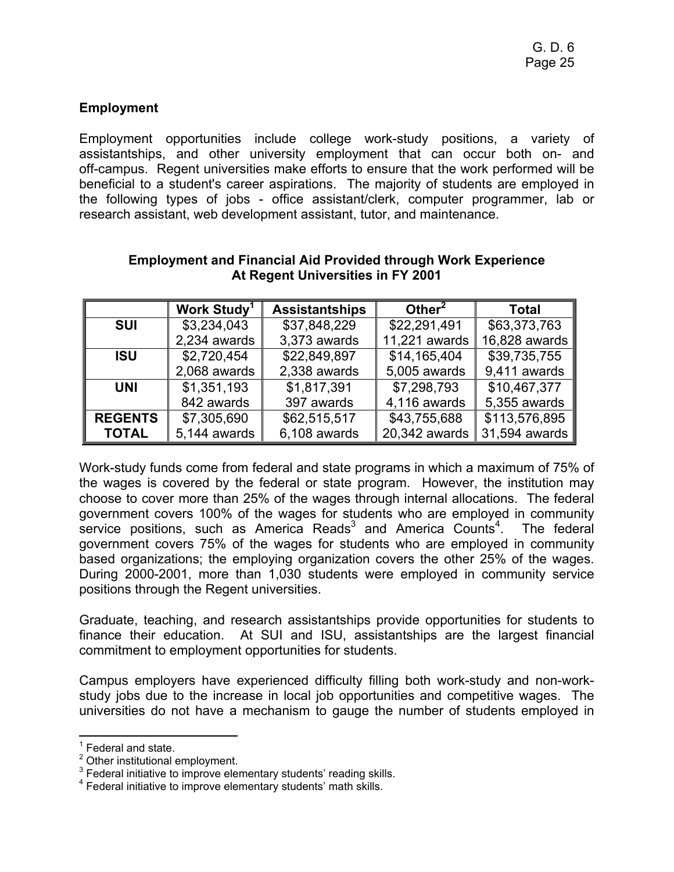## **Employment**

Employment opportunities include college work-study positions, a variety of assistantships, and other university employment that can occur both on- and off-campus. Regent universities make efforts to ensure that the work performed will be beneficial to a student's career aspirations. The majority of students are employed in the following types of jobs - office assistant/clerk, computer programmer, lab or research assistant, web development assistant, tutor, and maintenance.

|                | Work Study <sup>1</sup>     | <b>Assistantships</b> | Other $2$     | <b>Total</b>  |
|----------------|-----------------------------|-----------------------|---------------|---------------|
| <b>SUI</b>     | \$3,234,043<br>\$37,848,229 |                       | \$22,291,491  | \$63,373,763  |
|                | 2,234 awards                | 3,373 awards          | 11,221 awards | 16,828 awards |
| <b>ISU</b>     | \$2,720,454                 | \$22,849,897          | \$14,165,404  | \$39,735,755  |
|                | 2,068 awards                | 2,338 awards          | 5,005 awards  | 9,411 awards  |
| <b>UNI</b>     | \$1,351,193                 | \$1,817,391           | \$7,298,793   | \$10,467,377  |
|                | 842 awards                  | 397 awards            | 4,116 awards  | 5,355 awards  |
| <b>REGENTS</b> | \$7,305,690                 | \$62,515,517          | \$43,755,688  | \$113,576,895 |
| <b>TOTAL</b>   | 5,144 awards                | 6,108 awards          | 20,342 awards | 31,594 awards |

#### **Employment and Financial Aid Provided through Work Experience At Regent Universities in FY 2001**

Work-study funds come from federal and state programs in which a maximum of 75% of the wages is covered by the federal or state program. However, the institution may choose to cover more than 25% of the wages through internal allocations. The federal government covers 100% of the wages for students who are employed in community service positions, such as America Reads $3$  and America Counts<sup>4</sup> . The federal government covers 75% of the wages for students who are employed in community based organizations; the employing organization covers the other 25% of the wages. During 2000-2001, more than 1,030 students were employed in community service positions through the Regent universities.

Graduate, teaching, and research assistantships provide opportunities for students to finance their education. At SUI and ISU, assistantships are the largest financial commitment to employment opportunities for students.

Campus employers have experienced difficulty filling both work-study and non-workstudy jobs due to the increase in local job opportunities and competitive wages. The universities do not have a mechanism to gauge the number of students employed in

 $\overline{a}$ 1 Federal and state.

<sup>&</sup>lt;sup>2</sup> Other institutional employment.

 $3$  Federal initiative to improve elementary students' reading skills.

<sup>4</sup> Federal initiative to improve elementary students' math skills.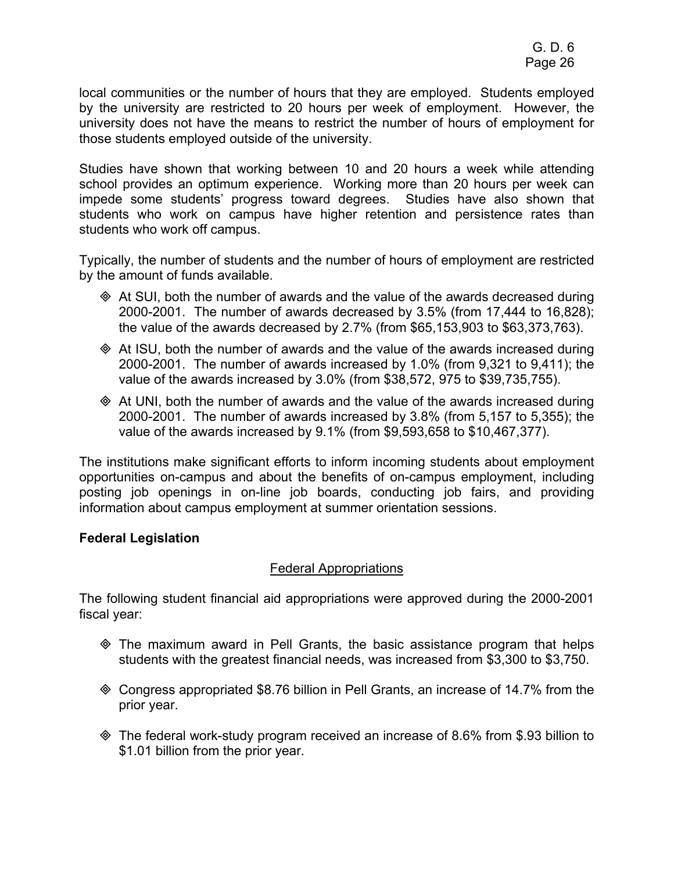local communities or the number of hours that they are employed. Students employed by the university are restricted to 20 hours per week of employment. However, the university does not have the means to restrict the number of hours of employment for those students employed outside of the university.

Studies have shown that working between 10 and 20 hours a week while attending school provides an optimum experience. Working more than 20 hours per week can impede some students' progress toward degrees. Studies have also shown that students who work on campus have higher retention and persistence rates than students who work off campus.

Typically, the number of students and the number of hours of employment are restricted by the amount of funds available.

- At SUI, both the number of awards and the value of the awards decreased during 2000-2001. The number of awards decreased by 3.5% (from 17,444 to 16,828); the value of the awards decreased by 2.7% (from \$65,153,903 to \$63,373,763).
- At ISU, both the number of awards and the value of the awards increased during 2000-2001. The number of awards increased by 1.0% (from 9,321 to 9,411); the value of the awards increased by 3.0% (from \$38,572, 975 to \$39,735,755).
- At UNI, both the number of awards and the value of the awards increased during 2000-2001. The number of awards increased by 3.8% (from 5,157 to 5,355); the value of the awards increased by 9.1% (from \$9,593,658 to \$10,467,377).

The institutions make significant efforts to inform incoming students about employment opportunities on-campus and about the benefits of on-campus employment, including posting job openings in on-line job boards, conducting job fairs, and providing information about campus employment at summer orientation sessions.

## **Federal Legislation**

## Federal Appropriations

The following student financial aid appropriations were approved during the 2000-2001 fiscal year:

- The maximum award in Pell Grants, the basic assistance program that helps students with the greatest financial needs, was increased from \$3,300 to \$3,750.
- Congress appropriated \$8.76 billion in Pell Grants, an increase of 14.7% from the prior year.
- The federal work-study program received an increase of 8.6% from \$.93 billion to \$1.01 billion from the prior year.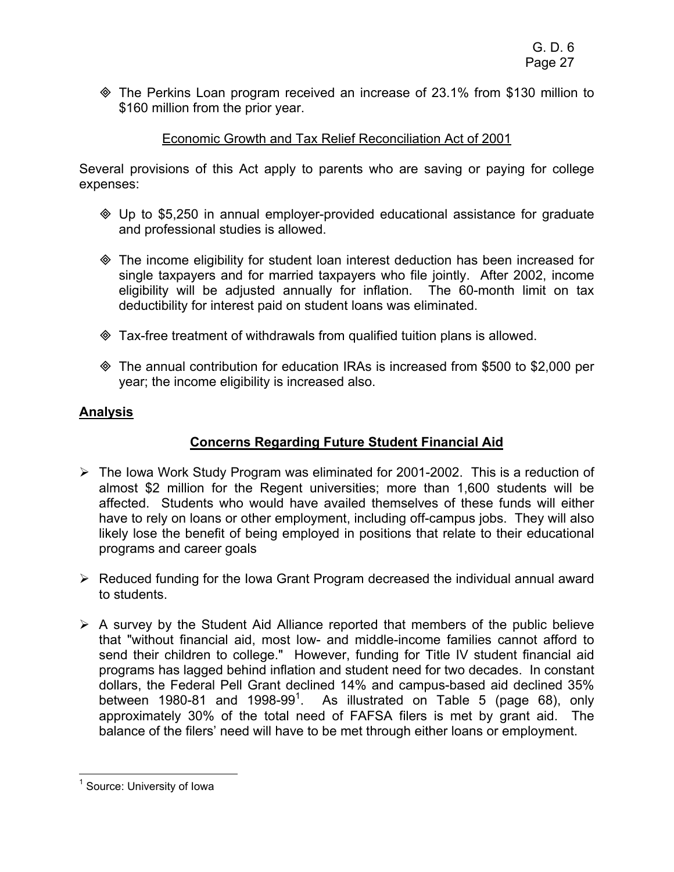The Perkins Loan program received an increase of 23.1% from \$130 million to \$160 million from the prior year.

## Economic Growth and Tax Relief Reconciliation Act of 2001

Several provisions of this Act apply to parents who are saving or paying for college expenses:

- Up to \$5,250 in annual employer-provided educational assistance for graduate and professional studies is allowed.
- The income eligibility for student loan interest deduction has been increased for single taxpayers and for married taxpayers who file jointly. After 2002, income eligibility will be adjusted annually for inflation. The 60-month limit on tax deductibility for interest paid on student loans was eliminated.
- Tax-free treatment of withdrawals from qualified tuition plans is allowed.
- The annual contribution for education IRAs is increased from \$500 to \$2,000 per year; the income eligibility is increased also.

## **Analysis**

## **Concerns Regarding Future Student Financial Aid**

- ¾ The Iowa Work Study Program was eliminated for 2001-2002. This is a reduction of almost \$2 million for the Regent universities; more than 1,600 students will be affected. Students who would have availed themselves of these funds will either have to rely on loans or other employment, including off-campus jobs. They will also likely lose the benefit of being employed in positions that relate to their educational programs and career goals
- $\triangleright$  Reduced funding for the Iowa Grant Program decreased the individual annual award to students.
- $\triangleright$  A survey by the Student Aid Alliance reported that members of the public believe that "without financial aid, most low- and middle-income families cannot afford to send their children to college." However, funding for Title IV student financial aid programs has lagged behind inflation and student need for two decades. In constant dollars, the Federal Pell Grant declined 14% and campus-based aid declined 35% between 1980-81 and 1998-99<sup>1</sup>. As illustrated on Table 5 (page 68), only approximately 30% of the total need of FAFSA filers is met by grant aid. The balance of the filers' need will have to be met through either loans or employment.

 $\overline{a}$ 

<sup>&</sup>lt;sup>1</sup> Source: University of Iowa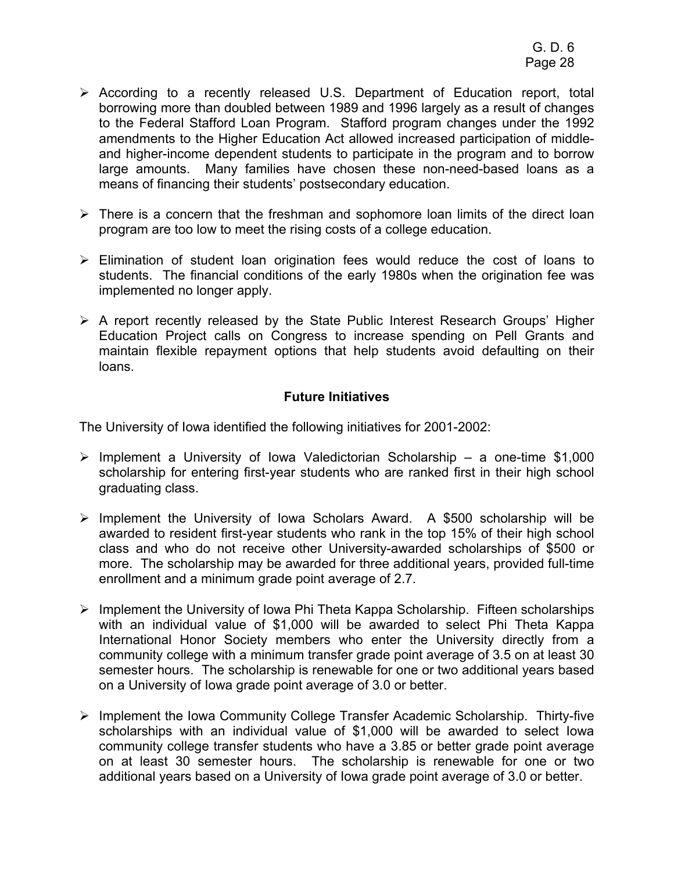- ¾ According to a recently released U.S. Department of Education report, total borrowing more than doubled between 1989 and 1996 largely as a result of changes to the Federal Stafford Loan Program. Stafford program changes under the 1992 amendments to the Higher Education Act allowed increased participation of middleand higher-income dependent students to participate in the program and to borrow large amounts. Many families have chosen these non-need-based loans as a means of financing their students' postsecondary education.
- $\triangleright$  There is a concern that the freshman and sophomore loan limits of the direct loan program are too low to meet the rising costs of a college education.
- $\triangleright$  Elimination of student loan origination fees would reduce the cost of loans to students. The financial conditions of the early 1980s when the origination fee was implemented no longer apply.
- ¾ A report recently released by the State Public Interest Research Groups' Higher Education Project calls on Congress to increase spending on Pell Grants and maintain flexible repayment options that help students avoid defaulting on their loans.

## **Future Initiatives**

The University of Iowa identified the following initiatives for 2001-2002:

- $\triangleright$  Implement a University of Iowa Valedictorian Scholarship a one-time \$1,000 scholarship for entering first-year students who are ranked first in their high school graduating class.
- $\triangleright$  Implement the University of Iowa Scholars Award. A \$500 scholarship will be awarded to resident first-year students who rank in the top 15% of their high school class and who do not receive other University-awarded scholarships of \$500 or more. The scholarship may be awarded for three additional years, provided full-time enrollment and a minimum grade point average of 2.7.
- ¾ Implement the University of Iowa Phi Theta Kappa Scholarship. Fifteen scholarships with an individual value of \$1,000 will be awarded to select Phi Theta Kappa International Honor Society members who enter the University directly from a community college with a minimum transfer grade point average of 3.5 on at least 30 semester hours. The scholarship is renewable for one or two additional years based on a University of Iowa grade point average of 3.0 or better.
- ¾ Implement the Iowa Community College Transfer Academic Scholarship. Thirty-five scholarships with an individual value of \$1,000 will be awarded to select Iowa community college transfer students who have a 3.85 or better grade point average on at least 30 semester hours. The scholarship is renewable for one or two additional years based on a University of Iowa grade point average of 3.0 or better.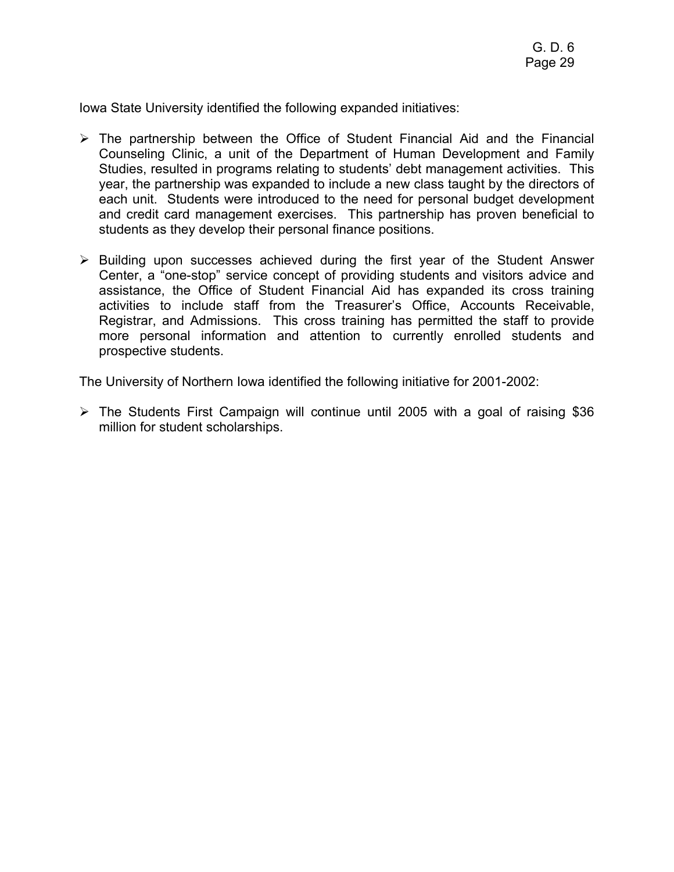Iowa State University identified the following expanded initiatives:

- $\triangleright$  The partnership between the Office of Student Financial Aid and the Financial Counseling Clinic, a unit of the Department of Human Development and Family Studies, resulted in programs relating to students' debt management activities. This year, the partnership was expanded to include a new class taught by the directors of each unit. Students were introduced to the need for personal budget development and credit card management exercises. This partnership has proven beneficial to students as they develop their personal finance positions.
- $\triangleright$  Building upon successes achieved during the first year of the Student Answer Center, a "one-stop" service concept of providing students and visitors advice and assistance, the Office of Student Financial Aid has expanded its cross training activities to include staff from the Treasurer's Office, Accounts Receivable, Registrar, and Admissions. This cross training has permitted the staff to provide more personal information and attention to currently enrolled students and prospective students.

The University of Northern Iowa identified the following initiative for 2001-2002:

 $\triangleright$  The Students First Campaign will continue until 2005 with a goal of raising \$36 million for student scholarships.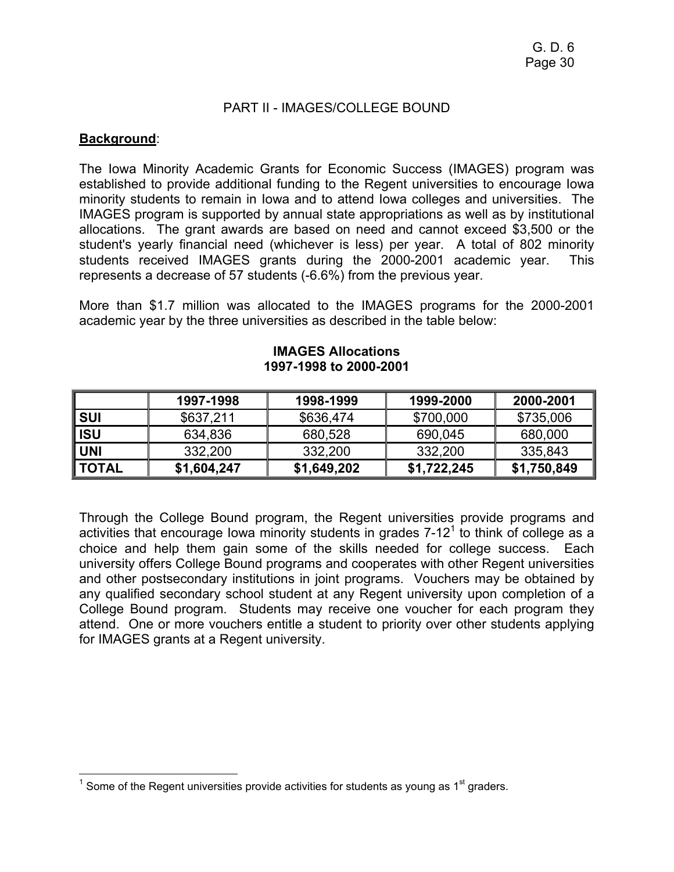#### PART II - IMAGES/COLLEGE BOUND

### **Background**:

The Iowa Minority Academic Grants for Economic Success (IMAGES) program was established to provide additional funding to the Regent universities to encourage Iowa minority students to remain in Iowa and to attend Iowa colleges and universities. The IMAGES program is supported by annual state appropriations as well as by institutional allocations. The grant awards are based on need and cannot exceed \$3,500 or the student's yearly financial need (whichever is less) per year. A total of 802 minority students received IMAGES grants during the 2000-2001 academic year. This represents a decrease of 57 students (-6.6%) from the previous year.

More than \$1.7 million was allocated to the IMAGES programs for the 2000-2001 academic year by the three universities as described in the table below:

|              | 1997-1998   | 1998-1999   | 1999-2000   | 2000-2001   |
|--------------|-------------|-------------|-------------|-------------|
| <b>SUI</b>   | \$637,211   | \$636,474   | \$700,000   | \$735,006   |
| <b>ISU</b>   | 634,836     | 680,528     | 690,045     | 680,000     |
| UNI          | 332,200     | 332,200     | 332,200     | 335,843     |
| <b>TOTAL</b> | \$1,604,247 | \$1,649,202 | \$1,722,245 | \$1,750,849 |

#### **IMAGES Allocations 1997-1998 to 2000-2001**

Through the College Bound program, the Regent universities provide programs and activities that encourage lowa minority students in grades  $7-12<sup>1</sup>$  to think of college as a choice and help them gain some of the skills needed for college success. Each university offers College Bound programs and cooperates with other Regent universities and other postsecondary institutions in joint programs. Vouchers may be obtained by any qualified secondary school student at any Regent university upon completion of a College Bound program. Students may receive one voucher for each program they attend. One or more vouchers entitle a student to priority over other students applying for IMAGES grants at a Regent university.

The metal conservance of the Regent universities provide activities for students as young as 1<sup>st</sup> graders.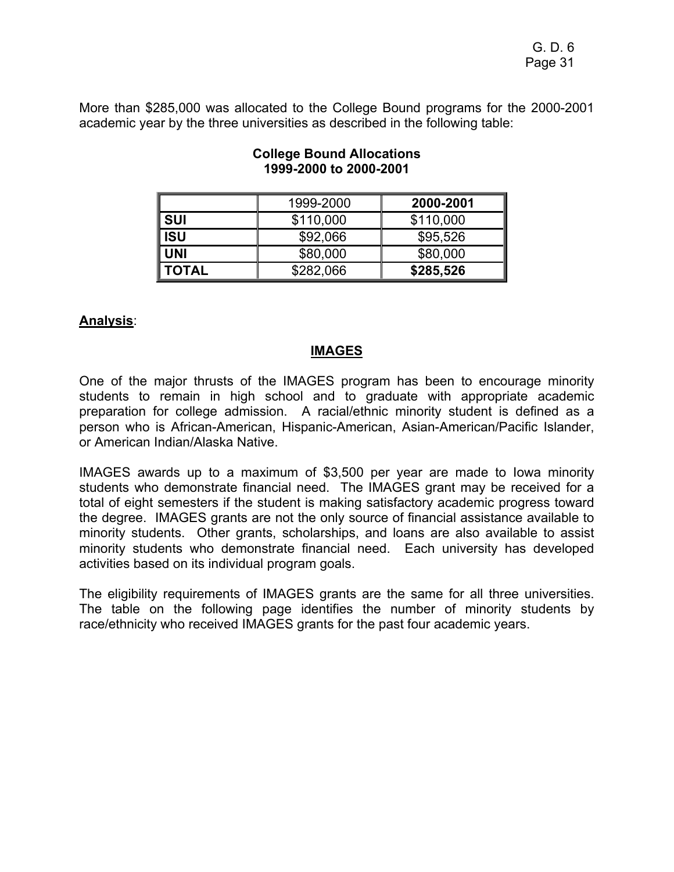More than \$285,000 was allocated to the College Bound programs for the 2000-2001 academic year by the three universities as described in the following table:

|              | 1999-2000 | 2000-2001 |
|--------------|-----------|-----------|
| <b>SUI</b>   | \$110,000 | \$110,000 |
| ISU          | \$92,066  | \$95,526  |
| UNI          | \$80,000  | \$80,000  |
| <b>TOTAL</b> | \$282,066 | \$285,526 |

## **College Bound Allocations 1999-2000 to 2000-2001**

## **Analysis**:

## **IMAGES**

One of the major thrusts of the IMAGES program has been to encourage minority students to remain in high school and to graduate with appropriate academic preparation for college admission. A racial/ethnic minority student is defined as a person who is African-American, Hispanic-American, Asian-American/Pacific Islander, or American Indian/Alaska Native.

IMAGES awards up to a maximum of \$3,500 per year are made to Iowa minority students who demonstrate financial need. The IMAGES grant may be received for a total of eight semesters if the student is making satisfactory academic progress toward the degree. IMAGES grants are not the only source of financial assistance available to minority students. Other grants, scholarships, and loans are also available to assist minority students who demonstrate financial need. Each university has developed activities based on its individual program goals.

The eligibility requirements of IMAGES grants are the same for all three universities. The table on the following page identifies the number of minority students by race/ethnicity who received IMAGES grants for the past four academic years.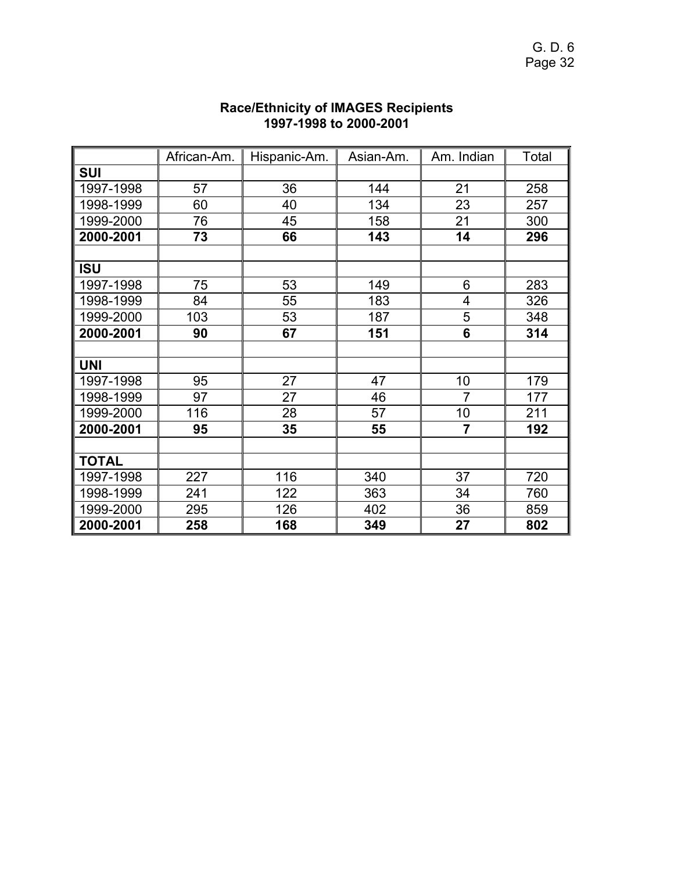|           | African-Am. | Hispanic-Am. | Asian-Am. | Am. Indian              | Total |
|-----------|-------------|--------------|-----------|-------------------------|-------|
| SUI       |             |              |           |                         |       |
| 1997-1998 | 57          | 36           | 144       | 21                      | 258   |
| 1998-1999 | 60          | 40           | 134       | 23                      | 257   |
| 1999-2000 | 76          | 45           | 158       | 21                      | 300   |
| 2000-2001 | 73          | 66           | 143       | 14                      | 296   |
|           |             |              |           |                         |       |
| ISU       |             |              |           |                         |       |
| 1997-1998 | 75          | 53           | 149       | 6                       | 283   |
| 1998-1999 | 84          | 55           | 183       | $\overline{\mathbf{4}}$ | 326   |
| 1999-2000 | 103         | 53           | 187       | 5                       | 348   |
| 2000-2001 | 90          | 67           | 151       | 6                       | 314   |
|           |             |              |           |                         |       |
| UNI       |             |              |           |                         |       |
| 1997-1998 | 95          | 27           | 47        | 10                      | 179   |
| 1998-1999 | 97          | 27           | 46        | $\overline{7}$          | 177   |
| 1999-2000 | 116         | 28           | 57        | 10                      | 211   |
| 2000-2001 | 95          | 35           | 55        | $\overline{7}$          | 192   |
|           |             |              |           |                         |       |
| TOTAL     |             |              |           |                         |       |
| 1997-1998 | 227         | 116          | 340       | 37                      | 720   |
| 1998-1999 | 241         | 122          | 363       | 34                      | 760   |
| 1999-2000 | 295         | 126          | 402       | 36                      | 859   |
| 2000-2001 | 258         | 168          | 349       | 27                      | 802   |

#### **Race/Ethnicity of IMAGES Recipients 1997-1998 to 2000-2001**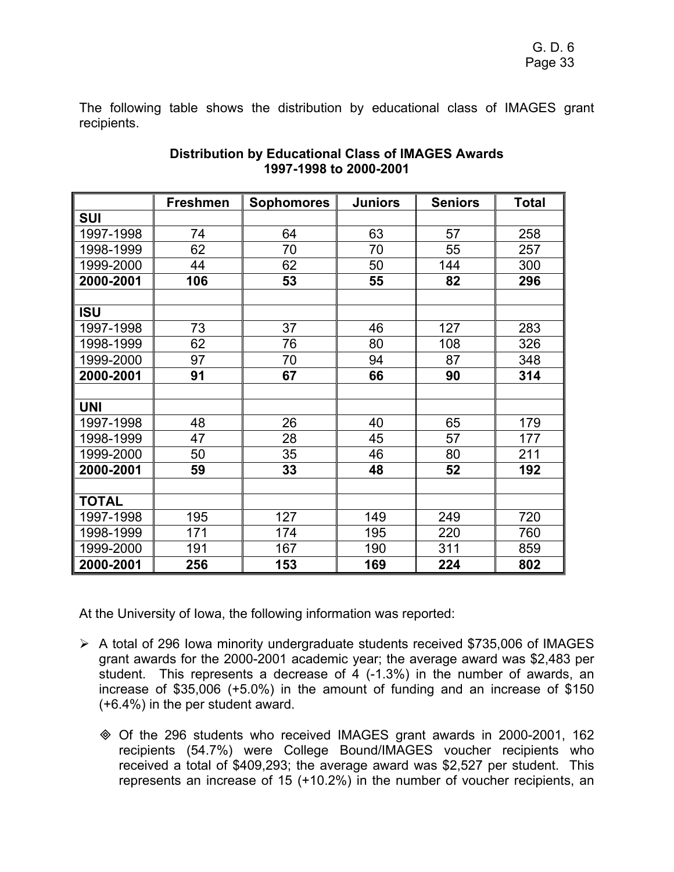The following table shows the distribution by educational class of IMAGES grant recipients.

|              | <b>Freshmen</b> | <b>Sophomores</b> | <b>Juniors</b> | <b>Seniors</b> | <b>Total</b> |
|--------------|-----------------|-------------------|----------------|----------------|--------------|
| <b>SUI</b>   |                 |                   |                |                |              |
| 1997-1998    | 74              | 64                | 63             | 57             | 258          |
| 1998-1999    | 62              | 70                | 70             | 55             | 257          |
| 1999-2000    | 44              | 62                | 50             | 144            | 300          |
| 2000-2001    | 106             | 53                | 55             | 82             | 296          |
|              |                 |                   |                |                |              |
| <b>ISU</b>   |                 |                   |                |                |              |
| 1997-1998    | 73              | 37                | 46             | 127            | 283          |
| 1998-1999    | 62              | 76                | 80             | 108            | 326          |
| 1999-2000    | 97              | 70                | 94             | 87             | 348          |
| 2000-2001    | 91              | 67                | 66             | 90             | 314          |
|              |                 |                   |                |                |              |
| <b>UNI</b>   |                 |                   |                |                |              |
| 1997-1998    | 48              | 26                | 40             | 65             | 179          |
| 1998-1999    | 47              | 28                | 45             | 57             | 177          |
| 1999-2000    | 50              | 35                | 46             | 80             | 211          |
| 2000-2001    | 59              | 33                | 48             | 52             | 192          |
|              |                 |                   |                |                |              |
| <b>TOTAL</b> |                 |                   |                |                |              |
| 1997-1998    | 195             | 127               | 149            | 249            | 720          |
| 1998-1999    | 171             | 174               | 195            | 220            | 760          |
| 1999-2000    | 191             | 167               | 190            | 311            | 859          |
| 2000-2001    | 256             | 153               | 169            | 224            | 802          |

#### **Distribution by Educational Class of IMAGES Awards 1997-1998 to 2000-2001**

At the University of Iowa, the following information was reported:

- ¾ A total of 296 Iowa minority undergraduate students received \$735,006 of IMAGES grant awards for the 2000-2001 academic year; the average award was \$2,483 per student. This represents a decrease of 4 (-1.3%) in the number of awards, an increase of \$35,006 (+5.0%) in the amount of funding and an increase of \$150 (+6.4%) in the per student award.
	- Of the 296 students who received IMAGES grant awards in 2000-2001, 162 recipients (54.7%) were College Bound/IMAGES voucher recipients who received a total of \$409,293; the average award was \$2,527 per student. This represents an increase of 15 (+10.2%) in the number of voucher recipients, an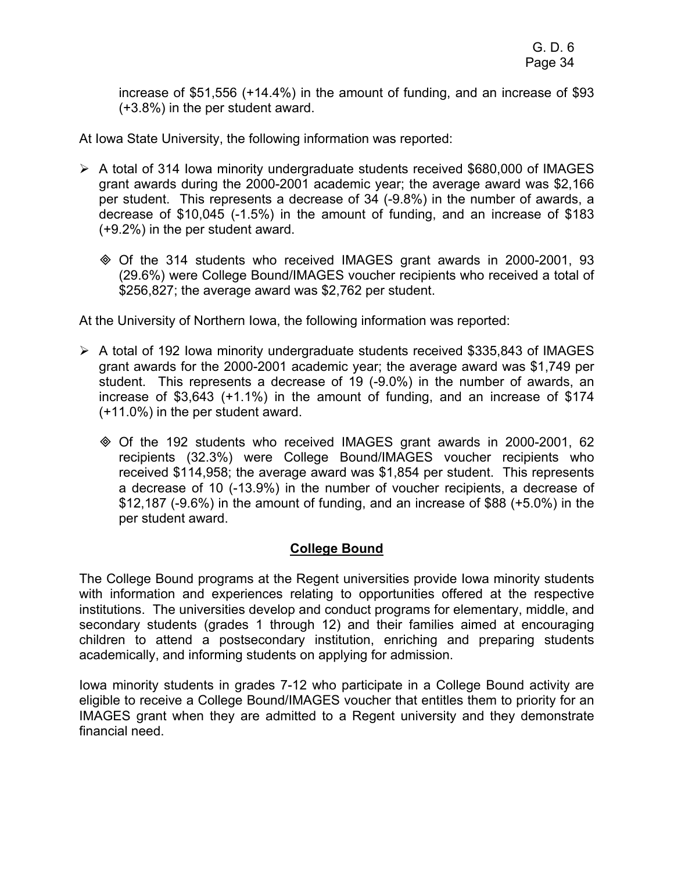increase of \$51,556 (+14.4%) in the amount of funding, and an increase of \$93 (+3.8%) in the per student award.

At Iowa State University, the following information was reported:

- $\triangleright$  A total of 314 Iowa minority undergraduate students received \$680,000 of IMAGES grant awards during the 2000-2001 academic year; the average award was \$2,166 per student. This represents a decrease of 34 (-9.8%) in the number of awards, a decrease of \$10,045 (-1.5%) in the amount of funding, and an increase of \$183 (+9.2%) in the per student award.
	- Of the 314 students who received IMAGES grant awards in 2000-2001, 93 (29.6%) were College Bound/IMAGES voucher recipients who received a total of \$256,827; the average award was \$2,762 per student.

At the University of Northern Iowa, the following information was reported:

- $\triangleright$  A total of 192 Iowa minority undergraduate students received \$335,843 of IMAGES grant awards for the 2000-2001 academic year; the average award was \$1,749 per student. This represents a decrease of 19 (-9.0%) in the number of awards, an increase of \$3,643 (+1.1%) in the amount of funding, and an increase of \$174 (+11.0%) in the per student award.
	- Of the 192 students who received IMAGES grant awards in 2000-2001, 62 recipients (32.3%) were College Bound/IMAGES voucher recipients who received \$114,958; the average award was \$1,854 per student. This represents a decrease of 10 (-13.9%) in the number of voucher recipients, a decrease of \$12,187 (-9.6%) in the amount of funding, and an increase of \$88 (+5.0%) in the per student award.

## **College Bound**

The College Bound programs at the Regent universities provide Iowa minority students with information and experiences relating to opportunities offered at the respective institutions. The universities develop and conduct programs for elementary, middle, and secondary students (grades 1 through 12) and their families aimed at encouraging children to attend a postsecondary institution, enriching and preparing students academically, and informing students on applying for admission.

Iowa minority students in grades 7-12 who participate in a College Bound activity are eligible to receive a College Bound/IMAGES voucher that entitles them to priority for an IMAGES grant when they are admitted to a Regent university and they demonstrate financial need.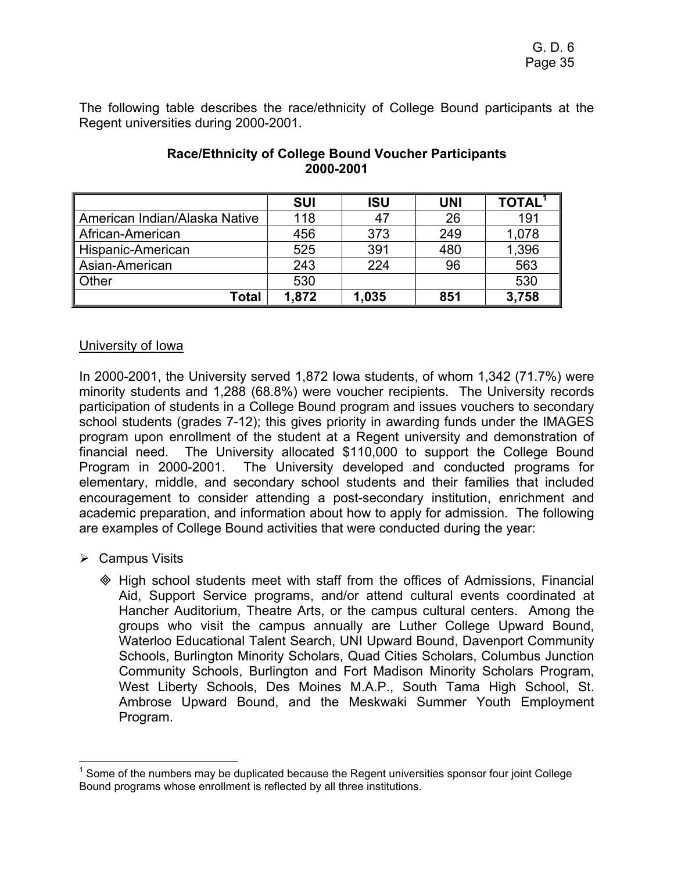The following table describes the race/ethnicity of College Bound participants at the Regent universities during 2000-2001.

|                               | <b>SUI</b> | <b>ISU</b> | <b>UNI</b> | <b>TOTAL</b> |
|-------------------------------|------------|------------|------------|--------------|
| American Indian/Alaska Native | 118        | 47         | 26         | 191          |
| African-American              | 456        | 373        | 249        | 1,078        |
| Hispanic-American             | 525        | 391        | 480        | 1,396        |
| Asian-American                | 243        | 224        | 96         | 563          |
| Other                         | 530        |            |            | 530          |
| <b>Total</b>                  | 1,872      | 1,035      | 851        | 3,758        |

## **Race/Ethnicity of College Bound Voucher Participants 2000-2001**

## University of Iowa

In 2000-2001, the University served 1,872 Iowa students, of whom 1,342 (71.7%) were minority students and 1,288 (68.8%) were voucher recipients. The University records participation of students in a College Bound program and issues vouchers to secondary school students (grades 7-12); this gives priority in awarding funds under the IMAGES program upon enrollment of the student at a Regent university and demonstration of financial need. The University allocated \$110,000 to support the College Bound Program in 2000-2001. The University developed and conducted programs for elementary, middle, and secondary school students and their families that included encouragement to consider attending a post-secondary institution, enrichment and academic preparation, and information about how to apply for admission. The following are examples of College Bound activities that were conducted during the year:

 $\triangleright$  Campus Visits

 $\overline{a}$ 

 High school students meet with staff from the offices of Admissions, Financial Aid, Support Service programs, and/or attend cultural events coordinated at Hancher Auditorium, Theatre Arts, or the campus cultural centers. Among the groups who visit the campus annually are Luther College Upward Bound, Waterloo Educational Talent Search, UNI Upward Bound, Davenport Community Schools, Burlington Minority Scholars, Quad Cities Scholars, Columbus Junction Community Schools, Burlington and Fort Madison Minority Scholars Program, West Liberty Schools, Des Moines M.A.P., South Tama High School, St. Ambrose Upward Bound, and the Meskwaki Summer Youth Employment Program.

 $1$  Some of the numbers may be duplicated because the Regent universities sponsor four joint College Bound programs whose enrollment is reflected by all three institutions.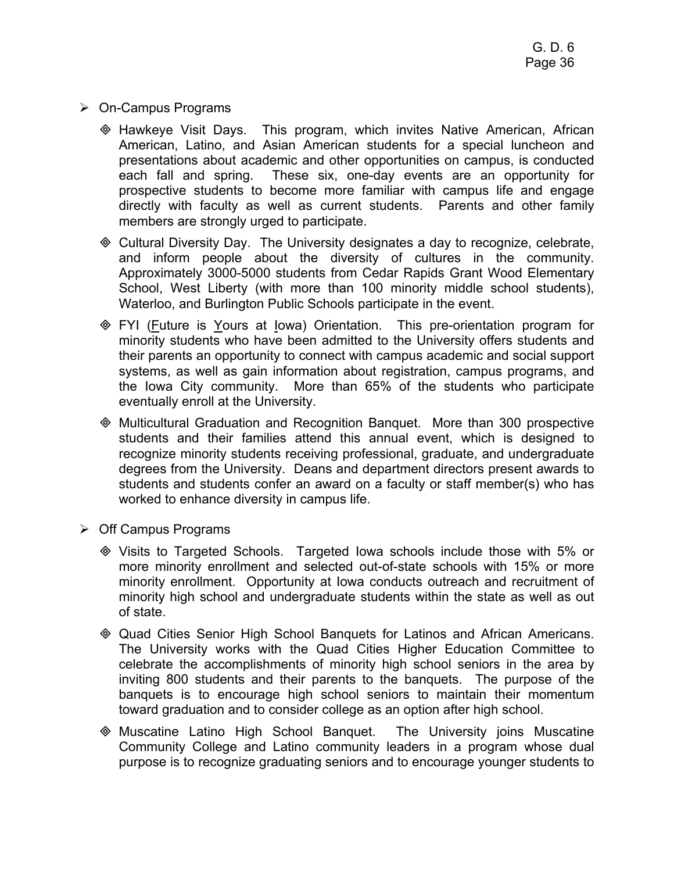- ¾ On-Campus Programs
	- Hawkeye Visit Days. This program, which invites Native American, African American, Latino, and Asian American students for a special luncheon and presentations about academic and other opportunities on campus, is conducted each fall and spring. These six, one-day events are an opportunity for prospective students to become more familiar with campus life and engage directly with faculty as well as current students. Parents and other family members are strongly urged to participate.
	- Cultural Diversity Day. The University designates a day to recognize, celebrate, and inform people about the diversity of cultures in the community. Approximately 3000-5000 students from Cedar Rapids Grant Wood Elementary School, West Liberty (with more than 100 minority middle school students), Waterloo, and Burlington Public Schools participate in the event.
	- **EXI (Future is Yours at lowa) Orientation.** This pre-orientation program for minority students who have been admitted to the University offers students and their parents an opportunity to connect with campus academic and social support systems, as well as gain information about registration, campus programs, and the Iowa City community. More than 65% of the students who participate eventually enroll at the University.
	- Multicultural Graduation and Recognition Banquet. More than 300 prospective students and their families attend this annual event, which is designed to recognize minority students receiving professional, graduate, and undergraduate degrees from the University. Deans and department directors present awards to students and students confer an award on a faculty or staff member(s) who has worked to enhance diversity in campus life.
- $\triangleright$  Off Campus Programs
	- Visits to Targeted Schools. Targeted Iowa schools include those with 5% or more minority enrollment and selected out-of-state schools with 15% or more minority enrollment. Opportunity at Iowa conducts outreach and recruitment of minority high school and undergraduate students within the state as well as out of state.
	- Quad Cities Senior High School Banquets for Latinos and African Americans. The University works with the Quad Cities Higher Education Committee to celebrate the accomplishments of minority high school seniors in the area by inviting 800 students and their parents to the banquets. The purpose of the banquets is to encourage high school seniors to maintain their momentum toward graduation and to consider college as an option after high school.
	- Muscatine Latino High School Banquet. The University joins Muscatine Community College and Latino community leaders in a program whose dual purpose is to recognize graduating seniors and to encourage younger students to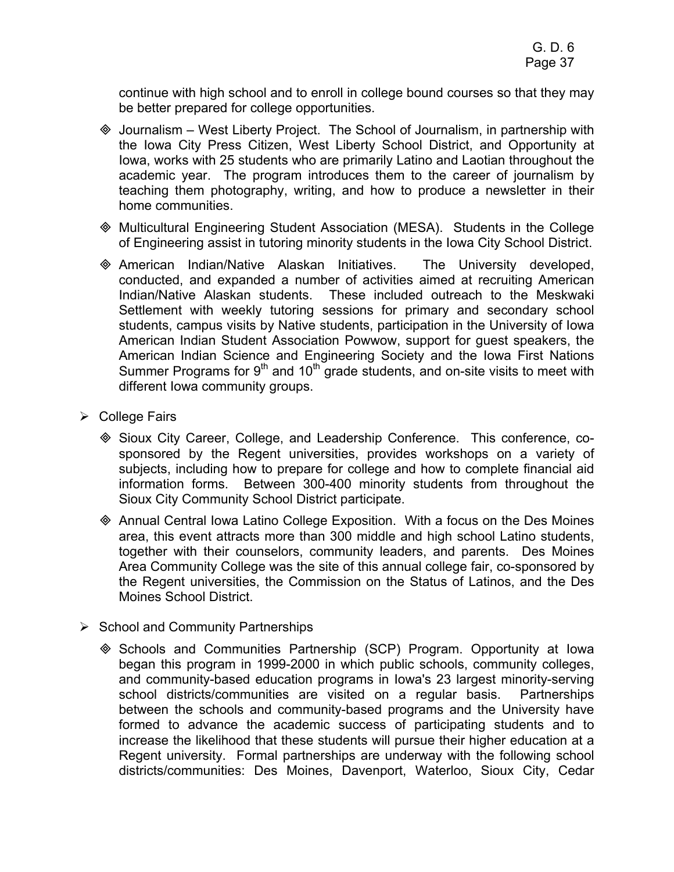continue with high school and to enroll in college bound courses so that they may be better prepared for college opportunities.

- $\Diamond$  Journalism West Liberty Project. The School of Journalism, in partnership with the Iowa City Press Citizen, West Liberty School District, and Opportunity at Iowa, works with 25 students who are primarily Latino and Laotian throughout the academic year. The program introduces them to the career of journalism by teaching them photography, writing, and how to produce a newsletter in their home communities.
- Multicultural Engineering Student Association (MESA). Students in the College of Engineering assist in tutoring minority students in the Iowa City School District.
- American Indian/Native Alaskan Initiatives. The University developed, conducted, and expanded a number of activities aimed at recruiting American Indian/Native Alaskan students. These included outreach to the Meskwaki Settlement with weekly tutoring sessions for primary and secondary school students, campus visits by Native students, participation in the University of Iowa American Indian Student Association Powwow, support for guest speakers, the American Indian Science and Engineering Society and the Iowa First Nations Summer Programs for  $9<sup>th</sup>$  and 10<sup>th</sup> grade students, and on-site visits to meet with different Iowa community groups.
- $\triangleright$  College Fairs
	- Sioux City Career, College, and Leadership Conference. This conference, cosponsored by the Regent universities, provides workshops on a variety of subjects, including how to prepare for college and how to complete financial aid information forms. Between 300-400 minority students from throughout the Sioux City Community School District participate.
	- Annual Central Iowa Latino College Exposition. With a focus on the Des Moines area, this event attracts more than 300 middle and high school Latino students, together with their counselors, community leaders, and parents. Des Moines Area Community College was the site of this annual college fair, co-sponsored by the Regent universities, the Commission on the Status of Latinos, and the Des Moines School District.
- $\triangleright$  School and Community Partnerships
	- $\otimes$  Schools and Communities Partnership (SCP) Program. Opportunity at Iowa began this program in 1999-2000 in which public schools, community colleges, and community-based education programs in Iowa's 23 largest minority-serving school districts/communities are visited on a regular basis. Partnerships between the schools and community-based programs and the University have formed to advance the academic success of participating students and to increase the likelihood that these students will pursue their higher education at a Regent university. Formal partnerships are underway with the following school districts/communities: Des Moines, Davenport, Waterloo, Sioux City, Cedar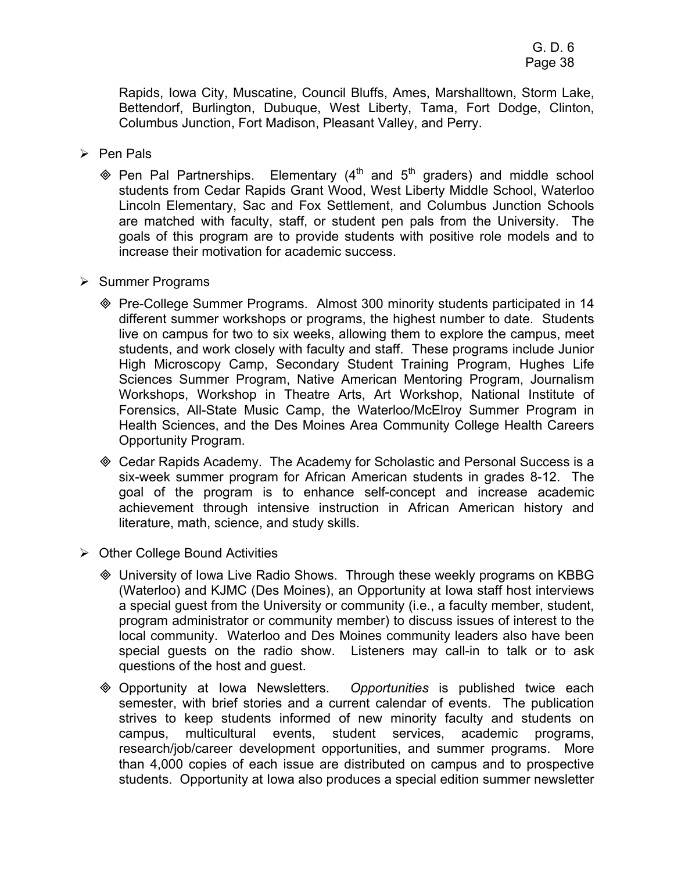Rapids, Iowa City, Muscatine, Council Bluffs, Ames, Marshalltown, Storm Lake, Bettendorf, Burlington, Dubuque, West Liberty, Tama, Fort Dodge, Clinton, Columbus Junction, Fort Madison, Pleasant Valley, and Perry.

- $\triangleright$  Pen Pals
	- $\textcircled{*}$  Pen Pal Partnerships. Elementary (4<sup>th</sup> and 5<sup>th</sup> graders) and middle school students from Cedar Rapids Grant Wood, West Liberty Middle School, Waterloo Lincoln Elementary, Sac and Fox Settlement, and Columbus Junction Schools are matched with faculty, staff, or student pen pals from the University. The goals of this program are to provide students with positive role models and to increase their motivation for academic success.
- $\triangleright$  Summer Programs
	- Pre-College Summer Programs. Almost 300 minority students participated in 14 different summer workshops or programs, the highest number to date. Students live on campus for two to six weeks, allowing them to explore the campus, meet students, and work closely with faculty and staff. These programs include Junior High Microscopy Camp, Secondary Student Training Program, Hughes Life Sciences Summer Program, Native American Mentoring Program, Journalism Workshops, Workshop in Theatre Arts, Art Workshop, National Institute of Forensics, All-State Music Camp, the Waterloo/McElroy Summer Program in Health Sciences, and the Des Moines Area Community College Health Careers Opportunity Program.
	- Cedar Rapids Academy. The Academy for Scholastic and Personal Success is a six-week summer program for African American students in grades 8-12. The goal of the program is to enhance self-concept and increase academic achievement through intensive instruction in African American history and literature, math, science, and study skills.
- $\triangleright$  Other College Bound Activities
	- University of Iowa Live Radio Shows. Through these weekly programs on KBBG (Waterloo) and KJMC (Des Moines), an Opportunity at Iowa staff host interviews a special guest from the University or community (i.e., a faculty member, student, program administrator or community member) to discuss issues of interest to the local community. Waterloo and Des Moines community leaders also have been special guests on the radio show. Listeners may call-in to talk or to ask questions of the host and guest.
	- Opportunity at Iowa Newsletters. *Opportunities* is published twice each semester, with brief stories and a current calendar of events. The publication strives to keep students informed of new minority faculty and students on campus, multicultural events, student services, academic programs, research/job/career development opportunities, and summer programs. More than 4,000 copies of each issue are distributed on campus and to prospective students. Opportunity at Iowa also produces a special edition summer newsletter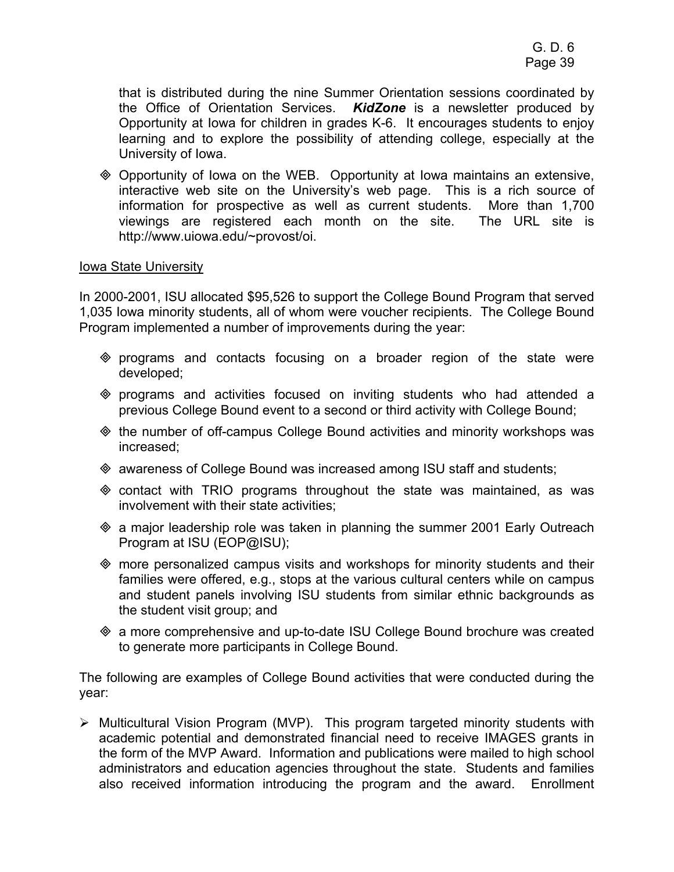that is distributed during the nine Summer Orientation sessions coordinated by the Office of Orientation Services. *KidZone* is a newsletter produced by Opportunity at Iowa for children in grades K-6. It encourages students to enjoy learning and to explore the possibility of attending college, especially at the University of Iowa.

 Opportunity of Iowa on the WEB. Opportunity at Iowa maintains an extensive, interactive web site on the University's web page. This is a rich source of information for prospective as well as current students. More than 1,700 viewings are registered each month on the site. The URL site is http://www.uiowa.edu/~provost/oi.

#### Iowa State University

In 2000-2001, ISU allocated \$95,526 to support the College Bound Program that served 1,035 Iowa minority students, all of whom were voucher recipients. The College Bound Program implemented a number of improvements during the year:

- programs and contacts focusing on a broader region of the state were developed;
- programs and activities focused on inviting students who had attended a previous College Bound event to a second or third activity with College Bound;
- the number of off-campus College Bound activities and minority workshops was increased;
- awareness of College Bound was increased among ISU staff and students;
- $\Diamond$  contact with TRIO programs throughout the state was maintained, as was involvement with their state activities;
- $\textcircled{*}$  a major leadership role was taken in planning the summer 2001 Early Outreach Program at ISU (EOP@ISU);
- more personalized campus visits and workshops for minority students and their families were offered, e.g., stops at the various cultural centers while on campus and student panels involving ISU students from similar ethnic backgrounds as the student visit group; and
- a more comprehensive and up-to-date ISU College Bound brochure was created to generate more participants in College Bound.

The following are examples of College Bound activities that were conducted during the year:

¾ Multicultural Vision Program (MVP). This program targeted minority students with academic potential and demonstrated financial need to receive IMAGES grants in the form of the MVP Award. Information and publications were mailed to high school administrators and education agencies throughout the state. Students and families also received information introducing the program and the award. Enrollment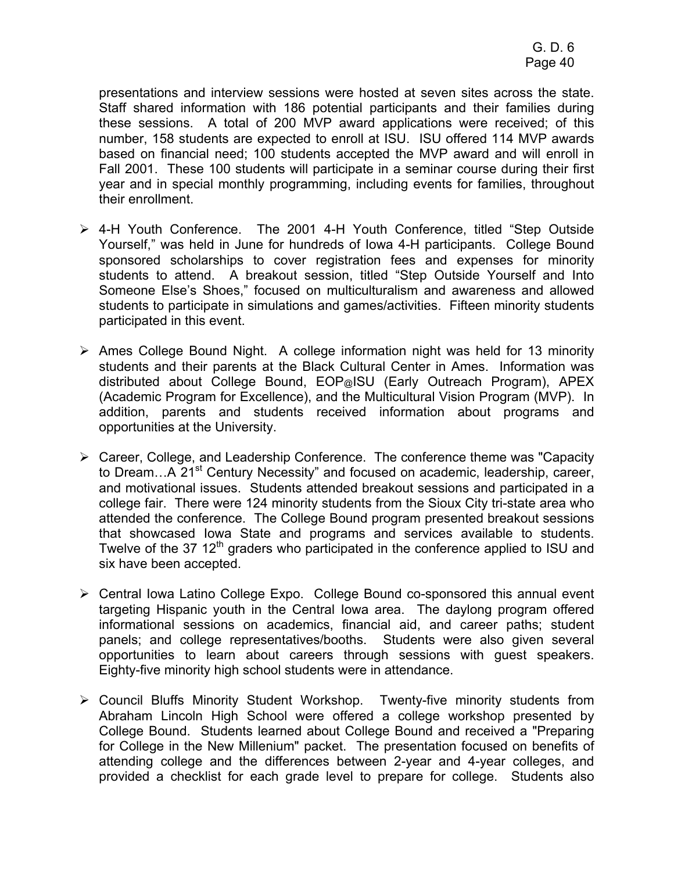presentations and interview sessions were hosted at seven sites across the state. Staff shared information with 186 potential participants and their families during these sessions. A total of 200 MVP award applications were received; of this number, 158 students are expected to enroll at ISU. ISU offered 114 MVP awards based on financial need; 100 students accepted the MVP award and will enroll in Fall 2001. These 100 students will participate in a seminar course during their first year and in special monthly programming, including events for families, throughout their enrollment.

- ¾ 4-H Youth Conference. The 2001 4-H Youth Conference, titled "Step Outside Yourself," was held in June for hundreds of Iowa 4-H participants. College Bound sponsored scholarships to cover registration fees and expenses for minority students to attend. A breakout session, titled "Step Outside Yourself and Into Someone Else's Shoes," focused on multiculturalism and awareness and allowed students to participate in simulations and games/activities. Fifteen minority students participated in this event.
- $\triangleright$  Ames College Bound Night. A college information night was held for 13 minority students and their parents at the Black Cultural Center in Ames. Information was distributed about College Bound, EOP@ISU (Early Outreach Program), APEX (Academic Program for Excellence), and the Multicultural Vision Program (MVP). In addition, parents and students received information about programs and opportunities at the University.
- ¾ Career, College, and Leadership Conference. The conference theme was "Capacity to Dream...A 21<sup>st</sup> Century Necessity" and focused on academic, leadership, career, and motivational issues. Students attended breakout sessions and participated in a college fair. There were 124 minority students from the Sioux City tri-state area who attended the conference. The College Bound program presented breakout sessions that showcased Iowa State and programs and services available to students. Twelve of the 37  $12<sup>th</sup>$  graders who participated in the conference applied to ISU and six have been accepted.
- ¾ Central Iowa Latino College Expo. College Bound co-sponsored this annual event targeting Hispanic youth in the Central Iowa area. The daylong program offered informational sessions on academics, financial aid, and career paths; student panels; and college representatives/booths. Students were also given several opportunities to learn about careers through sessions with guest speakers. Eighty-five minority high school students were in attendance.
- ¾ Council Bluffs Minority Student Workshop. Twenty-five minority students from Abraham Lincoln High School were offered a college workshop presented by College Bound. Students learned about College Bound and received a "Preparing for College in the New Millenium" packet. The presentation focused on benefits of attending college and the differences between 2-year and 4-year colleges, and provided a checklist for each grade level to prepare for college. Students also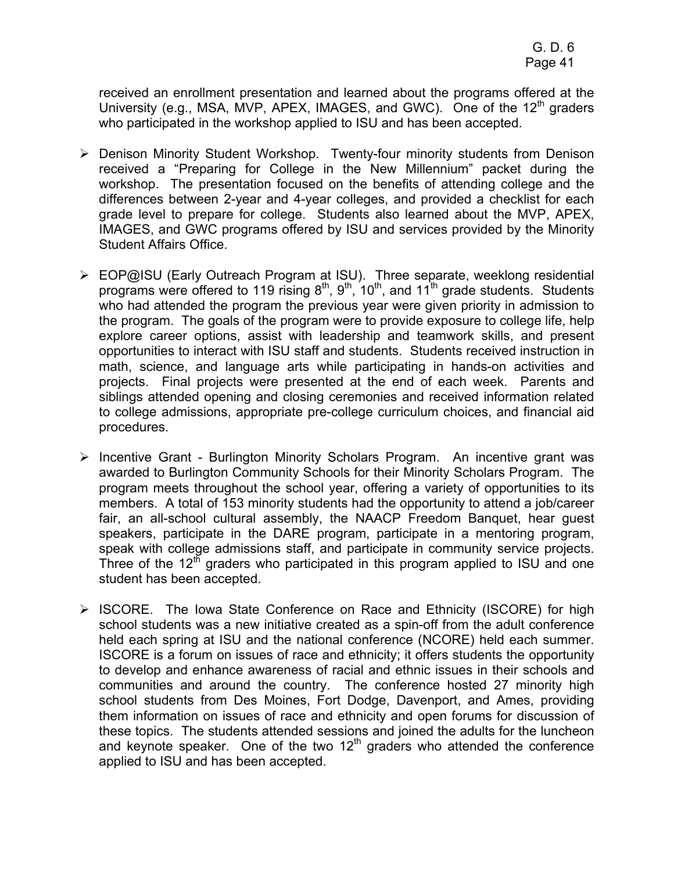received an enrollment presentation and learned about the programs offered at the University (e.g., MSA, MVP, APEX, IMAGES, and GWC). One of the  $12<sup>th</sup>$  graders who participated in the workshop applied to ISU and has been accepted.

- ¾ Denison Minority Student Workshop. Twenty-four minority students from Denison received a "Preparing for College in the New Millennium" packet during the workshop. The presentation focused on the benefits of attending college and the differences between 2-year and 4-year colleges, and provided a checklist for each grade level to prepare for college. Students also learned about the MVP, APEX, IMAGES, and GWC programs offered by ISU and services provided by the Minority Student Affairs Office.
- ¾ EOP@ISU (Early Outreach Program at ISU). Three separate, weeklong residential programs were offered to 119 rising  $8<sup>th</sup>$ ,  $9<sup>th</sup>$ ,  $10<sup>th</sup>$ , and  $11<sup>th</sup>$  grade students. Students who had attended the program the previous year were given priority in admission to the program. The goals of the program were to provide exposure to college life, help explore career options, assist with leadership and teamwork skills, and present opportunities to interact with ISU staff and students. Students received instruction in math, science, and language arts while participating in hands-on activities and projects. Final projects were presented at the end of each week. Parents and siblings attended opening and closing ceremonies and received information related to college admissions, appropriate pre-college curriculum choices, and financial aid procedures.
- ¾ Incentive Grant Burlington Minority Scholars Program. An incentive grant was awarded to Burlington Community Schools for their Minority Scholars Program. The program meets throughout the school year, offering a variety of opportunities to its members. A total of 153 minority students had the opportunity to attend a job/career fair, an all-school cultural assembly, the NAACP Freedom Banquet, hear guest speakers, participate in the DARE program, participate in a mentoring program, speak with college admissions staff, and participate in community service projects. Three of the  $12<sup>th</sup>$  graders who participated in this program applied to ISU and one student has been accepted.
- ¾ ISCORE. The Iowa State Conference on Race and Ethnicity (ISCORE) for high school students was a new initiative created as a spin-off from the adult conference held each spring at ISU and the national conference (NCORE) held each summer. ISCORE is a forum on issues of race and ethnicity; it offers students the opportunity to develop and enhance awareness of racial and ethnic issues in their schools and communities and around the country. The conference hosted 27 minority high school students from Des Moines, Fort Dodge, Davenport, and Ames, providing them information on issues of race and ethnicity and open forums for discussion of these topics. The students attended sessions and joined the adults for the luncheon and keynote speaker. One of the two  $12<sup>th</sup>$  graders who attended the conference applied to ISU and has been accepted.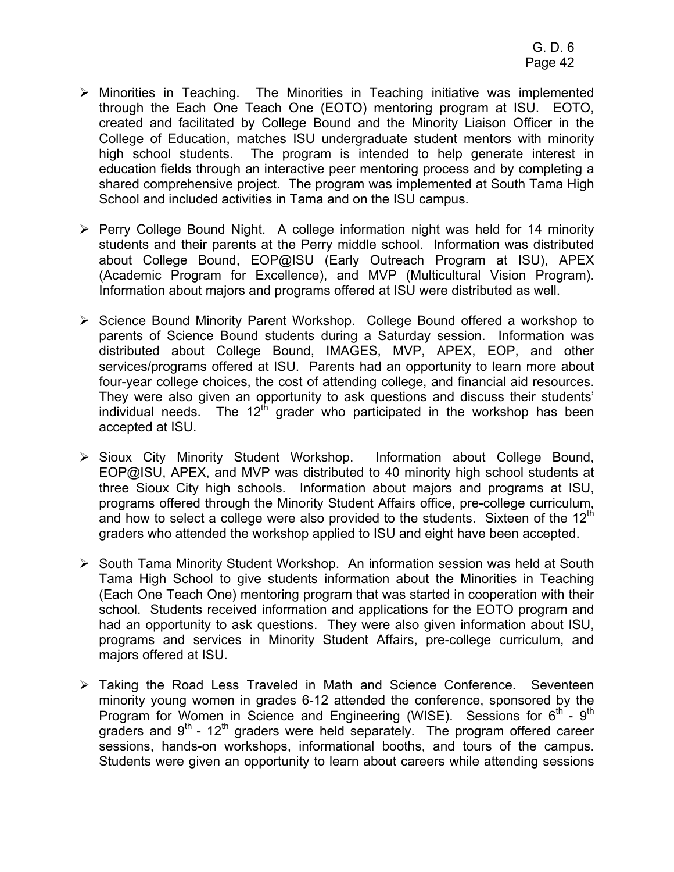- $\triangleright$  Minorities in Teaching. The Minorities in Teaching initiative was implemented through the Each One Teach One (EOTO) mentoring program at ISU. EOTO, created and facilitated by College Bound and the Minority Liaison Officer in the College of Education, matches ISU undergraduate student mentors with minority high school students. The program is intended to help generate interest in education fields through an interactive peer mentoring process and by completing a shared comprehensive project. The program was implemented at South Tama High School and included activities in Tama and on the ISU campus.
- ¾ Perry College Bound Night. A college information night was held for 14 minority students and their parents at the Perry middle school. Information was distributed about College Bound, EOP@ISU (Early Outreach Program at ISU), APEX (Academic Program for Excellence), and MVP (Multicultural Vision Program). Information about majors and programs offered at ISU were distributed as well.
- ¾ Science Bound Minority Parent Workshop. College Bound offered a workshop to parents of Science Bound students during a Saturday session. Information was distributed about College Bound, IMAGES, MVP, APEX, EOP, and other services/programs offered at ISU. Parents had an opportunity to learn more about four-year college choices, the cost of attending college, and financial aid resources. They were also given an opportunity to ask questions and discuss their students' individual needs. The  $12<sup>th</sup>$  grader who participated in the workshop has been accepted at ISU.
- ¾ Sioux City Minority Student Workshop. Information about College Bound, EOP@ISU, APEX, and MVP was distributed to 40 minority high school students at three Sioux City high schools. Information about majors and programs at ISU, programs offered through the Minority Student Affairs office, pre-college curriculum, and how to select a college were also provided to the students. Sixteen of the  $12<sup>th</sup>$ graders who attended the workshop applied to ISU and eight have been accepted.
- ¾ South Tama Minority Student Workshop. An information session was held at South Tama High School to give students information about the Minorities in Teaching (Each One Teach One) mentoring program that was started in cooperation with their school. Students received information and applications for the EOTO program and had an opportunity to ask questions. They were also given information about ISU, programs and services in Minority Student Affairs, pre-college curriculum, and majors offered at ISU.
- ¾ Taking the Road Less Traveled in Math and Science Conference. Seventeen minority young women in grades 6-12 attended the conference, sponsored by the Program for Women in Science and Engineering (WISE). Sessions for  $6<sup>th</sup>$  -  $9<sup>th</sup>$ graders and  $9<sup>th</sup>$  - 12<sup>th</sup> graders were held separately. The program offered career sessions, hands-on workshops, informational booths, and tours of the campus. Students were given an opportunity to learn about careers while attending sessions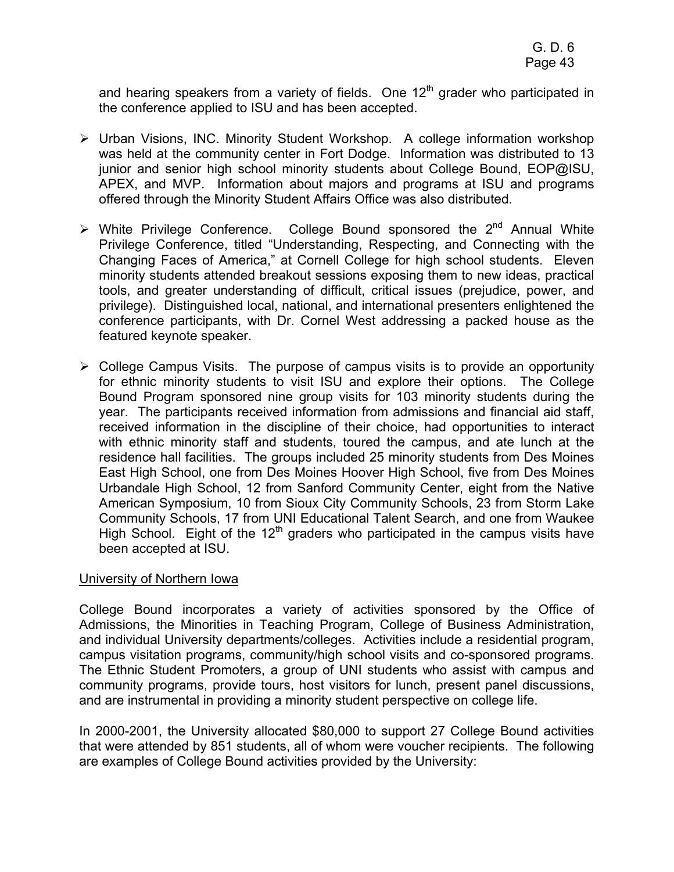and hearing speakers from a variety of fields. One  $12<sup>th</sup>$  grader who participated in the conference applied to ISU and has been accepted.

- ¾ Urban Visions, INC. Minority Student Workshop. A college information workshop was held at the community center in Fort Dodge. Information was distributed to 13 junior and senior high school minority students about College Bound, EOP@ISU, APEX, and MVP. Information about majors and programs at ISU and programs offered through the Minority Student Affairs Office was also distributed.
- $\triangleright$  White Privilege Conference. College Bound sponsored the 2<sup>nd</sup> Annual White Privilege Conference, titled "Understanding, Respecting, and Connecting with the Changing Faces of America," at Cornell College for high school students. Eleven minority students attended breakout sessions exposing them to new ideas, practical tools, and greater understanding of difficult, critical issues (prejudice, power, and privilege). Distinguished local, national, and international presenters enlightened the conference participants, with Dr. Cornel West addressing a packed house as the featured keynote speaker.
- ¾ College Campus Visits. The purpose of campus visits is to provide an opportunity for ethnic minority students to visit ISU and explore their options. The College Bound Program sponsored nine group visits for 103 minority students during the year. The participants received information from admissions and financial aid staff, received information in the discipline of their choice, had opportunities to interact with ethnic minority staff and students, toured the campus, and ate lunch at the residence hall facilities. The groups included 25 minority students from Des Moines East High School, one from Des Moines Hoover High School, five from Des Moines Urbandale High School, 12 from Sanford Community Center, eight from the Native American Symposium, 10 from Sioux City Community Schools, 23 from Storm Lake Community Schools, 17 from UNI Educational Talent Search, and one from Waukee High School. Eight of the  $12<sup>th</sup>$  graders who participated in the campus visits have been accepted at ISU.

#### University of Northern Iowa

College Bound incorporates a variety of activities sponsored by the Office of Admissions, the Minorities in Teaching Program, College of Business Administration, and individual University departments/colleges. Activities include a residential program, campus visitation programs, community/high school visits and co-sponsored programs. The Ethnic Student Promoters, a group of UNI students who assist with campus and community programs, provide tours, host visitors for lunch, present panel discussions, and are instrumental in providing a minority student perspective on college life.

In 2000-2001, the University allocated \$80,000 to support 27 College Bound activities that were attended by 851 students, all of whom were voucher recipients. The following are examples of College Bound activities provided by the University: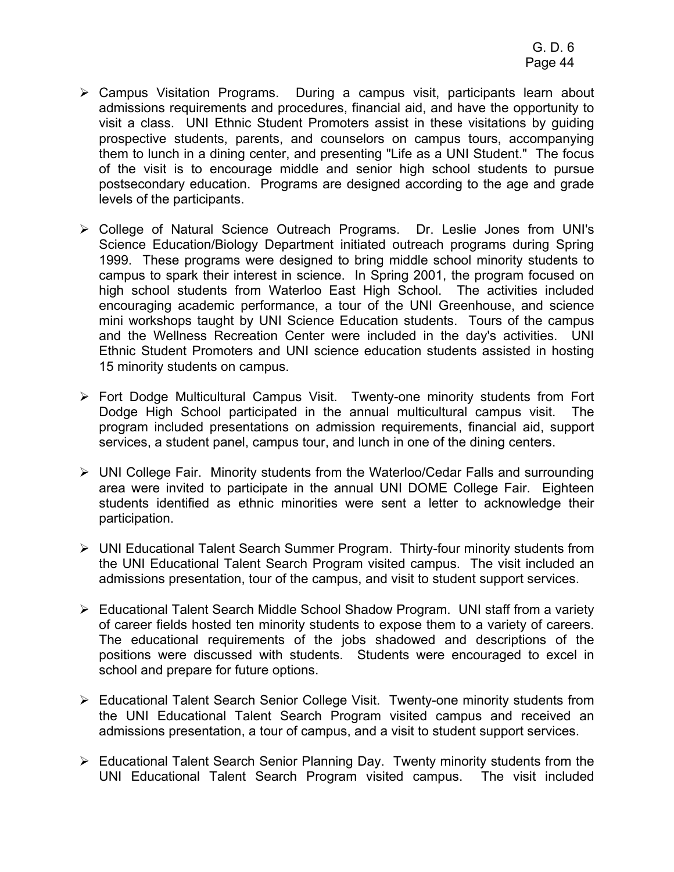- ¾ Campus Visitation Programs. During a campus visit, participants learn about admissions requirements and procedures, financial aid, and have the opportunity to visit a class. UNI Ethnic Student Promoters assist in these visitations by guiding prospective students, parents, and counselors on campus tours, accompanying them to lunch in a dining center, and presenting "Life as a UNI Student." The focus of the visit is to encourage middle and senior high school students to pursue postsecondary education. Programs are designed according to the age and grade levels of the participants.
- ¾ College of Natural Science Outreach Programs. Dr. Leslie Jones from UNI's Science Education/Biology Department initiated outreach programs during Spring 1999. These programs were designed to bring middle school minority students to campus to spark their interest in science. In Spring 2001, the program focused on high school students from Waterloo East High School. The activities included encouraging academic performance, a tour of the UNI Greenhouse, and science mini workshops taught by UNI Science Education students. Tours of the campus and the Wellness Recreation Center were included in the day's activities. UNI Ethnic Student Promoters and UNI science education students assisted in hosting 15 minority students on campus.
- ¾ Fort Dodge Multicultural Campus Visit. Twenty-one minority students from Fort Dodge High School participated in the annual multicultural campus visit. The program included presentations on admission requirements, financial aid, support services, a student panel, campus tour, and lunch in one of the dining centers.
- ¾ UNI College Fair. Minority students from the Waterloo/Cedar Falls and surrounding area were invited to participate in the annual UNI DOME College Fair. Eighteen students identified as ethnic minorities were sent a letter to acknowledge their participation.
- ¾ UNI Educational Talent Search Summer Program. Thirty-four minority students from the UNI Educational Talent Search Program visited campus. The visit included an admissions presentation, tour of the campus, and visit to student support services.
- ¾ Educational Talent Search Middle School Shadow Program. UNI staff from a variety of career fields hosted ten minority students to expose them to a variety of careers. The educational requirements of the jobs shadowed and descriptions of the positions were discussed with students. Students were encouraged to excel in school and prepare for future options.
- ¾ Educational Talent Search Senior College Visit. Twenty-one minority students from the UNI Educational Talent Search Program visited campus and received an admissions presentation, a tour of campus, and a visit to student support services.
- ¾ Educational Talent Search Senior Planning Day. Twenty minority students from the UNI Educational Talent Search Program visited campus. The visit included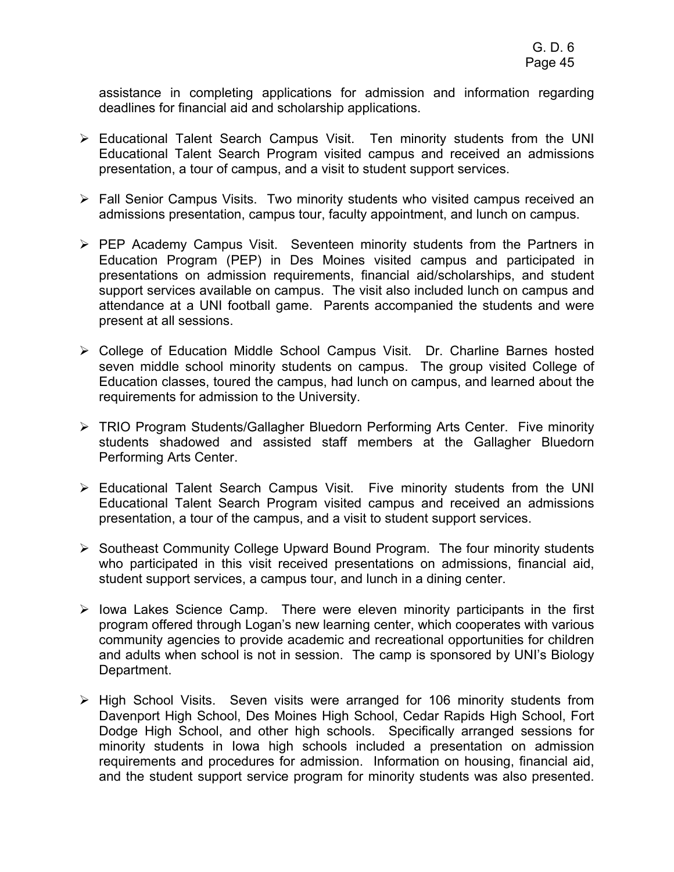assistance in completing applications for admission and information regarding deadlines for financial aid and scholarship applications.

- $\triangleright$  Educational Talent Search Campus Visit. Ten minority students from the UNI Educational Talent Search Program visited campus and received an admissions presentation, a tour of campus, and a visit to student support services.
- ¾ Fall Senior Campus Visits. Two minority students who visited campus received an admissions presentation, campus tour, faculty appointment, and lunch on campus.
- ¾ PEP Academy Campus Visit. Seventeen minority students from the Partners in Education Program (PEP) in Des Moines visited campus and participated in presentations on admission requirements, financial aid/scholarships, and student support services available on campus. The visit also included lunch on campus and attendance at a UNI football game. Parents accompanied the students and were present at all sessions.
- ¾ College of Education Middle School Campus Visit. Dr. Charline Barnes hosted seven middle school minority students on campus. The group visited College of Education classes, toured the campus, had lunch on campus, and learned about the requirements for admission to the University.
- ¾ TRIO Program Students/Gallagher Bluedorn Performing Arts Center. Five minority students shadowed and assisted staff members at the Gallagher Bluedorn Performing Arts Center.
- $\triangleright$  Educational Talent Search Campus Visit. Five minority students from the UNI Educational Talent Search Program visited campus and received an admissions presentation, a tour of the campus, and a visit to student support services.
- ¾ Southeast Community College Upward Bound Program. The four minority students who participated in this visit received presentations on admissions, financial aid, student support services, a campus tour, and lunch in a dining center.
- $\triangleright$  lowa Lakes Science Camp. There were eleven minority participants in the first program offered through Logan's new learning center, which cooperates with various community agencies to provide academic and recreational opportunities for children and adults when school is not in session. The camp is sponsored by UNI's Biology Department.
- ¾ High School Visits. Seven visits were arranged for 106 minority students from Davenport High School, Des Moines High School, Cedar Rapids High School, Fort Dodge High School, and other high schools. Specifically arranged sessions for minority students in Iowa high schools included a presentation on admission requirements and procedures for admission. Information on housing, financial aid, and the student support service program for minority students was also presented.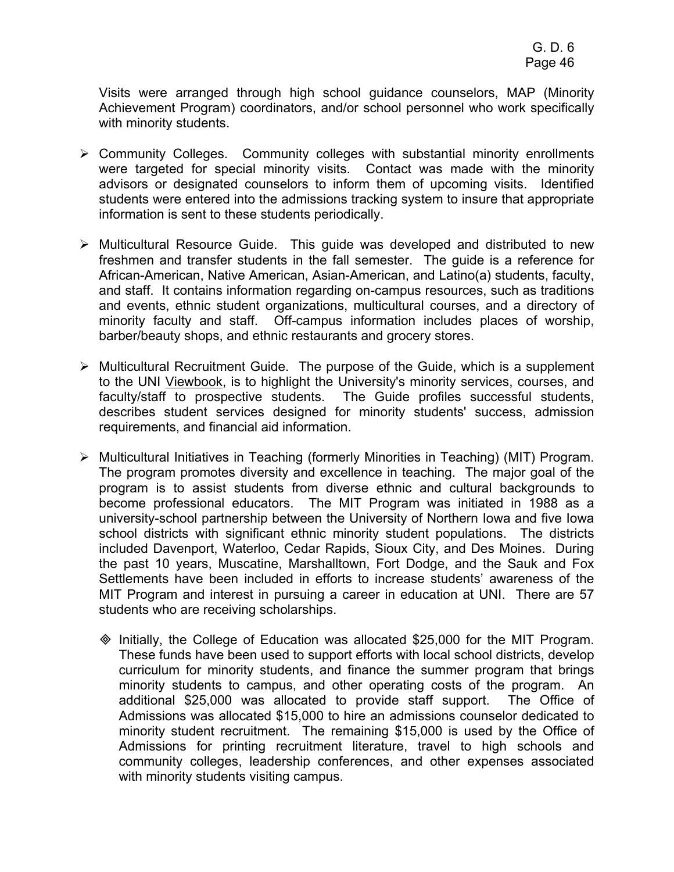Visits were arranged through high school guidance counselors, MAP (Minority Achievement Program) coordinators, and/or school personnel who work specifically with minority students.

- $\triangleright$  Community Colleges. Community colleges with substantial minority enrollments were targeted for special minority visits. Contact was made with the minority advisors or designated counselors to inform them of upcoming visits. Identified students were entered into the admissions tracking system to insure that appropriate information is sent to these students periodically.
- ¾ Multicultural Resource Guide. This guide was developed and distributed to new freshmen and transfer students in the fall semester. The guide is a reference for African-American, Native American, Asian-American, and Latino(a) students, faculty, and staff. It contains information regarding on-campus resources, such as traditions and events, ethnic student organizations, multicultural courses, and a directory of minority faculty and staff. Off-campus information includes places of worship, barber/beauty shops, and ethnic restaurants and grocery stores.
- $\triangleright$  Multicultural Recruitment Guide. The purpose of the Guide, which is a supplement to the UNI Viewbook, is to highlight the University's minority services, courses, and faculty/staff to prospective students. The Guide profiles successful students, describes student services designed for minority students' success, admission requirements, and financial aid information.
- ¾ Multicultural Initiatives in Teaching (formerly Minorities in Teaching) (MIT) Program. The program promotes diversity and excellence in teaching. The major goal of the program is to assist students from diverse ethnic and cultural backgrounds to become professional educators. The MIT Program was initiated in 1988 as a university-school partnership between the University of Northern Iowa and five Iowa school districts with significant ethnic minority student populations. The districts included Davenport, Waterloo, Cedar Rapids, Sioux City, and Des Moines. During the past 10 years, Muscatine, Marshalltown, Fort Dodge, and the Sauk and Fox Settlements have been included in efforts to increase students' awareness of the MIT Program and interest in pursuing a career in education at UNI. There are 57 students who are receiving scholarships.
	- $\textcircled{}$  Initially, the College of Education was allocated \$25,000 for the MIT Program. These funds have been used to support efforts with local school districts, develop curriculum for minority students, and finance the summer program that brings minority students to campus, and other operating costs of the program. An additional \$25,000 was allocated to provide staff support. The Office of Admissions was allocated \$15,000 to hire an admissions counselor dedicated to minority student recruitment. The remaining \$15,000 is used by the Office of Admissions for printing recruitment literature, travel to high schools and community colleges, leadership conferences, and other expenses associated with minority students visiting campus.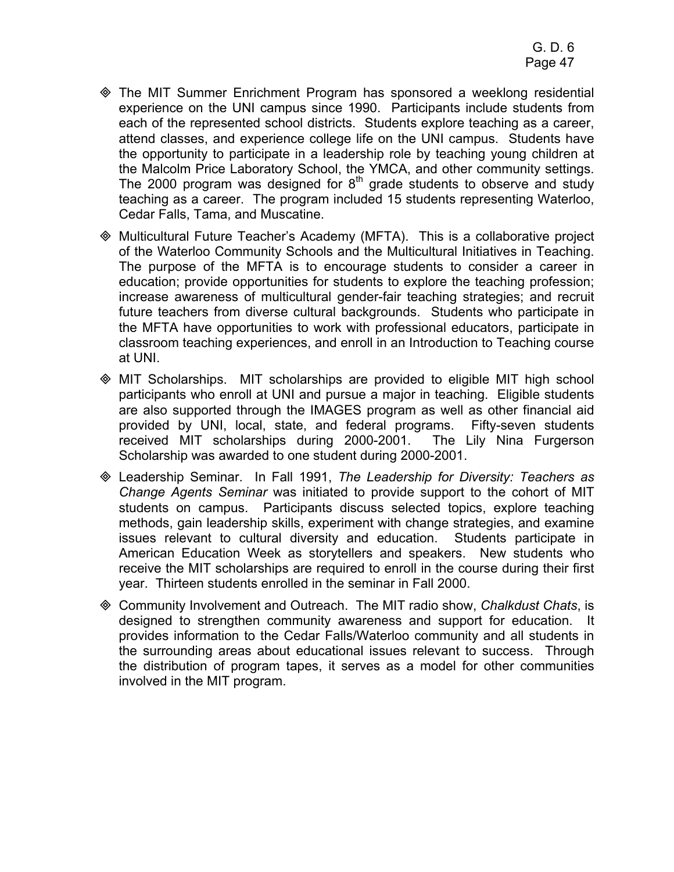- The MIT Summer Enrichment Program has sponsored a weeklong residential experience on the UNI campus since 1990. Participants include students from each of the represented school districts. Students explore teaching as a career, attend classes, and experience college life on the UNI campus. Students have the opportunity to participate in a leadership role by teaching young children at the Malcolm Price Laboratory School, the YMCA, and other community settings. The 2000 program was designed for  $8<sup>th</sup>$  grade students to observe and study teaching as a career. The program included 15 students representing Waterloo, Cedar Falls, Tama, and Muscatine.
- Multicultural Future Teacher's Academy (MFTA). This is a collaborative project of the Waterloo Community Schools and the Multicultural Initiatives in Teaching. The purpose of the MFTA is to encourage students to consider a career in education; provide opportunities for students to explore the teaching profession; increase awareness of multicultural gender-fair teaching strategies; and recruit future teachers from diverse cultural backgrounds. Students who participate in the MFTA have opportunities to work with professional educators, participate in classroom teaching experiences, and enroll in an Introduction to Teaching course at UNI.
- MIT Scholarships. MIT scholarships are provided to eligible MIT high school participants who enroll at UNI and pursue a major in teaching. Eligible students are also supported through the IMAGES program as well as other financial aid provided by UNI, local, state, and federal programs. Fifty-seven students received MIT scholarships during 2000-2001. The Lily Nina Furgerson Scholarship was awarded to one student during 2000-2001.
- Leadership Seminar. In Fall 1991, *The Leadership for Diversity: Teachers as Change Agents Seminar* was initiated to provide support to the cohort of MIT students on campus. Participants discuss selected topics, explore teaching methods, gain leadership skills, experiment with change strategies, and examine issues relevant to cultural diversity and education. Students participate in American Education Week as storytellers and speakers. New students who receive the MIT scholarships are required to enroll in the course during their first year. Thirteen students enrolled in the seminar in Fall 2000.
- Community Involvement and Outreach. The MIT radio show, *Chalkdust Chats*, is designed to strengthen community awareness and support for education. It provides information to the Cedar Falls/Waterloo community and all students in the surrounding areas about educational issues relevant to success. Through the distribution of program tapes, it serves as a model for other communities involved in the MIT program.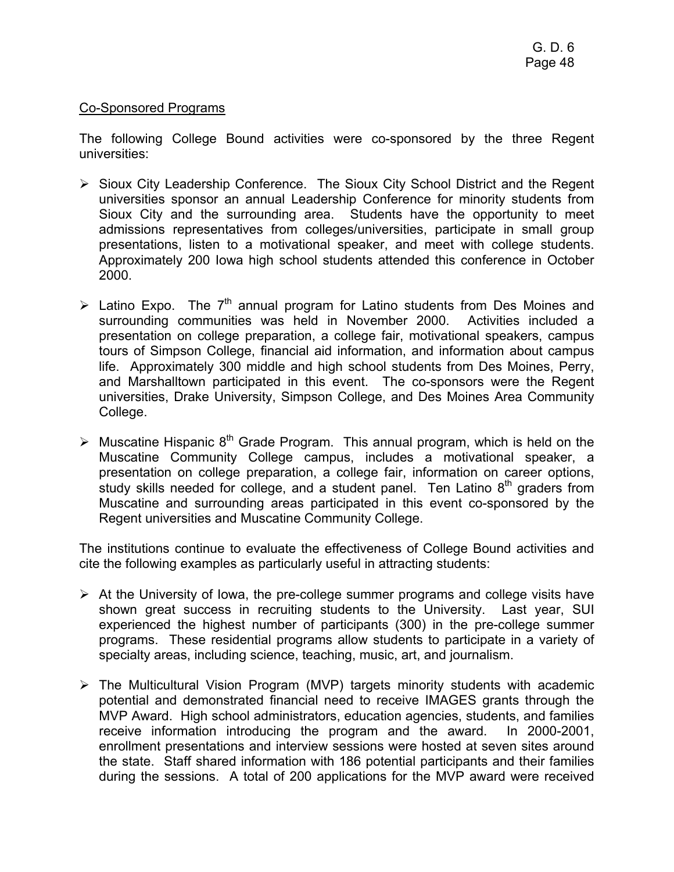## Co-Sponsored Programs

The following College Bound activities were co-sponsored by the three Regent universities:

- ¾ Sioux City Leadership Conference. The Sioux City School District and the Regent universities sponsor an annual Leadership Conference for minority students from Sioux City and the surrounding area. Students have the opportunity to meet admissions representatives from colleges/universities, participate in small group presentations, listen to a motivational speaker, and meet with college students. Approximately 200 Iowa high school students attended this conference in October 2000.
- $\triangleright$  Latino Expo. The 7<sup>th</sup> annual program for Latino students from Des Moines and surrounding communities was held in November 2000. Activities included a presentation on college preparation, a college fair, motivational speakers, campus tours of Simpson College, financial aid information, and information about campus life. Approximately 300 middle and high school students from Des Moines, Perry, and Marshalltown participated in this event. The co-sponsors were the Regent universities, Drake University, Simpson College, and Des Moines Area Community College.
- $\triangleright$  Muscatine Hispanic 8<sup>th</sup> Grade Program. This annual program, which is held on the Muscatine Community College campus, includes a motivational speaker, a presentation on college preparation, a college fair, information on career options, study skills needed for college, and a student panel. Ten Latino  $8<sup>th</sup>$  graders from Muscatine and surrounding areas participated in this event co-sponsored by the Regent universities and Muscatine Community College.

The institutions continue to evaluate the effectiveness of College Bound activities and cite the following examples as particularly useful in attracting students:

- $\triangleright$  At the University of Iowa, the pre-college summer programs and college visits have shown great success in recruiting students to the University. Last year, SUI experienced the highest number of participants (300) in the pre-college summer programs. These residential programs allow students to participate in a variety of specialty areas, including science, teaching, music, art, and journalism.
- $\triangleright$  The Multicultural Vision Program (MVP) targets minority students with academic potential and demonstrated financial need to receive IMAGES grants through the MVP Award. High school administrators, education agencies, students, and families receive information introducing the program and the award. In 2000-2001, enrollment presentations and interview sessions were hosted at seven sites around the state. Staff shared information with 186 potential participants and their families during the sessions. A total of 200 applications for the MVP award were received